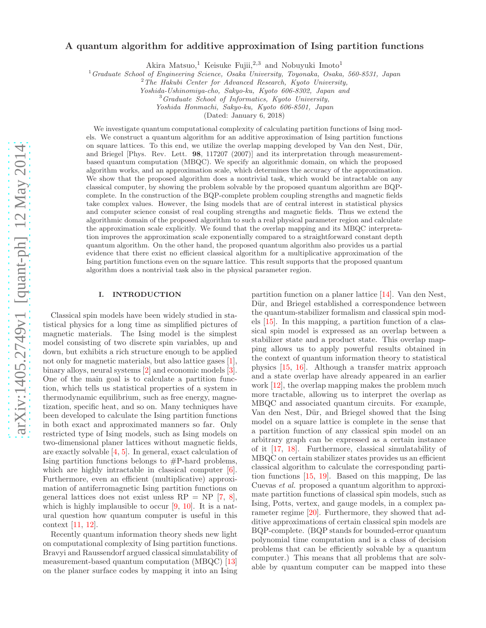# arXiv:1405.2749v1 [quant-ph] 12 May 2014 [arXiv:1405.2749v1 \[quant-ph\] 12 May 2014](http://arxiv.org/abs/1405.2749v1)

# A quantum algorithm for additive approximation of Ising partition functions

Akira Matsuo,<sup>1</sup> Keisuke Fujii,<sup>2,3</sup> and Nobuyuki Imoto<sup>1</sup>

<sup>1</sup>Graduate School of Engineering Science, Osaka University, Toyonaka, Osaka, 560-8531, Japan

<sup>2</sup>The Hakubi Center for Advanced Research, Kyoto University,

Yoshida-Ushinomiya-cho, Sakyo-ku, Kyoto 606-8302, Japan and

<sup>3</sup>Graduate School of Informatics, Kyoto University,

Yoshida Honmachi, Sakyo-ku, Kyoto 606-8501, Japan

(Dated: January 6, 2018)

We investigate quantum computational complexity of calculating partition functions of Ising models. We construct a quantum algorithm for an additive approximation of Ising partition functions on square lattices. To this end, we utilize the overlap mapping developed by Van den Nest, D¨ur, and Briegel [Phys. Rev. Lett. 98, 117207 (2007)] and its interpretation through measurementbased quantum computation (MBQC). We specify an algorithmic domain, on which the proposed algorithm works, and an approximation scale, which determines the accuracy of the approximation. We show that the proposed algorithm does a nontrivial task, which would be intractable on any classical computer, by showing the problem solvable by the proposed quantum algorithm are BQPcomplete. In the construction of the BQP-complete problem coupling strengths and magnetic fields take complex values. However, the Ising models that are of central interest in statistical physics and computer science consist of real coupling strengths and magnetic fields. Thus we extend the algorithmic domain of the proposed algorithm to such a real physical parameter region and calculate the approximation scale explicitly. We found that the overlap mapping and its MBQC interpretation improves the approximation scale exponentially compared to a straightforward constant depth quantum algorithm. On the other hand, the proposed quantum algorithm also provides us a partial evidence that there exist no efficient classical algorithm for a multiplicative approximation of the Ising partition functions even on the square lattice. This result supports that the proposed quantum algorithm does a nontrivial task also in the physical parameter region.

### I. INTRODUCTION

Classical spin models have been widely studied in statistical physics for a long time as simplified pictures of magnetic materials. The Ising model is the simplest model consisting of two discrete spin variables, up and down, but exhibits a rich structure enough to be applied not only for magnetic materials, but also lattice gases [1], binary alloys, neural systems [2] and economic models [3]. One of the main goal is to calculate a partition function, which tells us statistical properties of a system in thermodynamic equilibrium, such as free energy, magnetization, specific heat, and so on. Many techniques have been developed to calculate the Ising partition functions in both exact and approximated manners so far. Only restricted type of Ising models, such as Ising models on two-dimensional planer lattices without magnetic fields, are exactly solvable [4, 5]. In general, exact calculation of Ising partition functions belongs to #P-hard problems, which are highly intractable in classical computer  $[6]$ . Furthermore, even an efficient (multiplicative) approximation of antiferromagnetic Ising partition functions on general lattices does not exist unless  $RP = NP$  [7, 8], which is highly implausible to occur  $[9, 10]$ . It is a natural question how quantum computer is useful in this context [11, 12].

Recently quantum information theory sheds new light on computational complexity of Ising partition functions. Bravyi and Raussendorf argued classical simulatability of measurement-based quantum computation (MBQC) [13] on the planer surface codes by mapping it into an Ising partition function on a planer lattice [14]. Van den Nest, Dür, and Briegel established a correspondence between the quantum-stabilizer formalism and classical spin models [15]. In this mapping, a partition function of a classical spin model is expressed as an overlap between a stabilizer state and a product state. This overlap mapping allows us to apply powerful results obtained in the context of quantum information theory to statistical physics [15, 16]. Although a transfer matrix approach and a state overlap have already appeared in an earlier work [12], the overlap mapping makes the problem much more tractable, allowing us to interpret the overlap as MBQC and associated quantum circuits. For example, Van den Nest, Dür, and Briegel showed that the Ising model on a square lattice is complete in the sense that a partition function of any classical spin model on an arbitrary graph can be expressed as a certain instance of it [17, 18]. Furthermore, classical simulatability of MBQC on certain stabilizer states provides us an efficient classical algorithm to calculate the corresponding partition functions [15, 19]. Based on this mapping, De las Cuevas et al. proposed a quantum algorithm to approximate partition functions of classical spin models, such as Ising, Potts, vertex, and gauge models, in a complex parameter regime [20]. Furthermore, they showed that additive approximations of certain classical spin models are BQP-complete. (BQP stands for bounded-error quantum polynomial time computation and is a class of decision problems that can be efficiently solvable by a quantum computer.) This means that all problems that are solvable by quantum computer can be mapped into these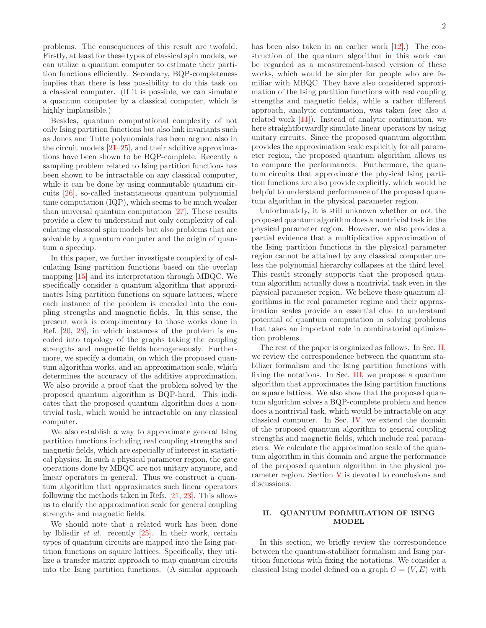problems. The consequences of this result are twofold. Firstly, at least for these types of classical spin models, we can utilize a quantum computer to estimate their partition functions efficiently. Secondary, BQP-completeness implies that there is less possibility to do this task on a classical computer. (If it is possible, we can simulate a quantum computer by a classical computer, which is highly implausible.

Besides, quantum computational complexity of not only Ising partition functions but also link invariants such as Jones and Tutte polynomials has been argued also in the circuit models  $[21-25]$ , and their additive approximations have been shown to be BQP-complete. Recently a sampling problem related to Ising partition functions has been shown to be intractable on any classical computer, while it can be done by using commutable quantum circuits [26], so-called instantaneous quantum polynomial time computation (IQP), which seems to be much weaker than universal quantum computation [27]. These results provide a clew to understand not only complexity of calculating classical spin models but also problems that are solvable by a quantum computer and the origin of quantum a speedup.

In this paper, we further investigate complexity of calculating Ising partition functions based on the overlap mapping [15] and its interpretation through MBQC. We specifically consider a quantum algorithm that approximates Ising partition functions on square lattices, where each instance of the problem is encoded into the coupling strengths and magnetic fields. In this sense, the present work is complimentary to those works done in Ref. [20, 28], in which instances of the problem is encoded into topology of the graphs taking the coupling strengths and magnetic fields homogeneously. Furthermore, we specify a domain, on which the proposed quantum algorithm works, and an approximation scale, which determines the accuracy of the additive approximation. We also provide a proof that the problem solved by the proposed quantum algorithm is BQP-hard. This indicates that the proposed quantum algorithm does a nontrivial task, which would be intractable on any classical computer.

We also establish a way to approximate general Ising partition functions including real coupling strengths and magnetic fields, which are especially of interest in statistical physics. In such a physical parameter region, the gate operations done by MBQC are not unitary anymore, and linear operators in general. Thus we construct a quantum algorithm that approximates such linear operators following the methods taken in Refs. [21, 23]. This allows us to clarify the approximation scale for general coupling strengths and magnetic fields.

We should note that a related work has been done by Iblisdir et al. recently [25]. In their work, certain types of quantum circuits are mapped into the Ising partition functions on square lattices. Specifically, they utilize a transfer matrix approach to map quantum circuits into the Ising partition functions. (A similar approach has been also taken in an earlier work [12].) The construction of the quantum algorithm in this work can be regarded as a measurement-based version of these works, which would be simpler for people who are familiar with MBQC. They have also considered approximation of the Ising partition functions with real coupling strengths and magnetic fields, while a rather different approach, analytic continuation, was taken (see also a related work [11]). Instead of analytic continuation, we here straightforwardly simulate linear operators by using unitary circuits. Since the proposed quantum algorithm provides the approximation scale explicitly for all parameter region, the proposed quantum algorithm allows us to compare the performances. Furthermore, the quantum circuits that approximate the physical Ising partition functions are also provide explicitly, which would be helpful to understand performance of the proposed quantum algorithm in the physical parameter region.

Unfortunately, it is still unknown whether or not the proposed quantum algorithm does a nontrivial task in the physical parameter region. However, we also provides a partial evidence that a multiplicative approximation of the Ising partition functions in the physical parameter region cannot be attained by any classical computer unless the polynomial hierarchy collapses at the third level. This result strongly supports that the proposed quantum algorithm actually does a nontrivial task even in the physical parameter region. We believe these quantum algorithms in the real parameter regime and their approximation scales provide an essential clue to understand potential of quantum computation in solving problems that takes an important role in combinatorial optimization problems.

The rest of the paper is organized as follows. In Sec. II, we review the correspondence between the quantum stabilizer formalism and the Ising partition functions with fixing the notations. In Sec. III, we propose a quantum algorithm that approximates the Ising partition functions on square lattices. We also show that the proposed quantum algorithm solves a BQP-complete problem and hence does a nontrivial task, which would be intractable on any classical computer. In Sec. IV, we extend the domain of the proposed quantum algorithm to general coupling strengths and magnetic fields, which include real parameters. We calculate the approximation scale of the quantum algorithm in this domain and argue the performance of the proposed quantum algorithm in the physical parameter region. Section  $V$  is devoted to conclusions and discussions.

# II. QUANTUM FORMULATION OF ISING MODEL

In this section, we briefly review the correspondence between the quantum-stabilizer formalism and Ising partition functions with fixing the notations. We consider a classical Ising model defined on a graph  $G = (V, E)$  with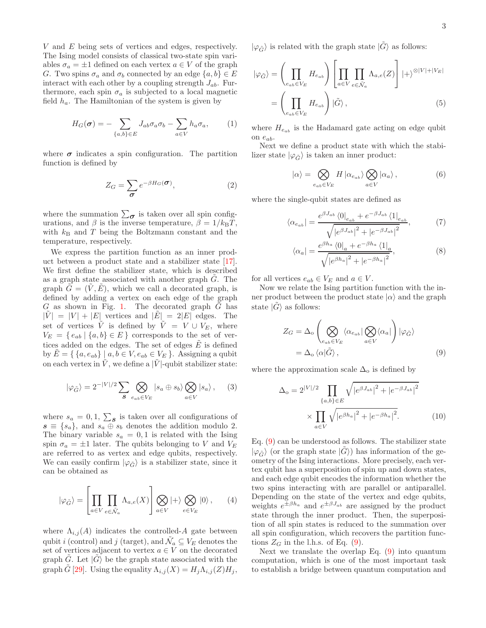V and E being sets of vertices and edges, respectively. The Ising model consists of classical two-state spin variables  $\sigma_a = \pm 1$  defined on each vertex  $a \in V$  of the graph G. Two spins  $\sigma_a$  and  $\sigma_b$  connected by an edge  $\{a, b\} \in E$ interact with each other by a coupling strength  $J_{ab}$ . Furthermore, each spin  $\sigma_a$  is subjected to a local magnetic field  $h_a$ . The Hamiltonian of the system is given by

$$
H_G(\boldsymbol{\sigma}) = -\sum_{\{a,b\} \in E} J_{ab} \sigma_a \sigma_b - \sum_{a \in V} h_a \sigma_a, \qquad (1)
$$

where  $\sigma$  indicates a spin configuration. The partition function is defined by

$$
Z_G = \sum_{\sigma} e^{-\beta H_G(\sigma)}, \tag{2}
$$

where the summation  $\sum_{\sigma}$  is taken over all spin configurations, and  $\beta$  is the inverse temperature,  $\beta = 1/k_BT$ , with  $k_B$  and T being the Boltzmann constant and the temperature, respectively.

We express the partition function as an inner product between a product state and a stabilizer state [17]. We first define the stabilizer state, which is described as a graph state associated with another graph  $\tilde{G}$ . The graph  $G = (V, E)$ , which we call a decorated graph, is defined by adding a vertex on each edge of the graph  $G$  as shown in Fig. 1. The decorated graph  $G$  has  $|V| = |V| + |E|$  vertices and  $|E| = 2|E|$  edges. The set of vertices  $\tilde{V}$  is defined by  $\tilde{V} = V \cup V_E$ , where  $V_E = \{e_{ab} | \{a, b\} \in E\}$  corresponds to the set of vertices added on the edges. The set of edges  $\tilde{E}$  is defined by  $E = \{ \{a, e_{ab} \} \mid a, b \in V, e_{ab} \in V_E \}.$  Assigning a qubit on each vertex in  $V$ , we define a  $|V|$ -qubit stabilizer state:

$$
|\varphi_{\tilde{G}}\rangle = 2^{-|V|/2} \sum_{\mathcal{S}} \bigotimes_{e_{ab} \in V_E} |s_a \oplus s_b\rangle \bigotimes_{a \in V} |s_a\rangle , \quad (3)
$$

where  $s_a = 0, 1, \sum_{\mathcal{S}} s$  is taken over all configurations of  $s \equiv \{s_a\}$ , and  $s_a \oplus s_b$  denotes the addition modulo 2. The binary variable  $s_a = 0, 1$  is related with the Ising spin  $\sigma_a = \pm 1$  later. The qubits belonging to V and  $V_E$ are referred to as vertex and edge qubits, respectively. We can easily confirm  $|\varphi_{\tilde{G}}\rangle$  is a stabilizer state, since it can be obtained as

$$
|\varphi_{\tilde{G}}\rangle = \left[\prod_{a \in V} \prod_{e \in \tilde{\mathcal{N}}_a} \Lambda_{a,e}(X)\right] \bigotimes_{a \in V} |+\rangle \bigotimes_{e \in V_E} |0\rangle ,\qquad (4)
$$

where  $\Lambda_{i,j}(A)$  indicates the controlled-A gate between qubit *i* (control) and *j* (target), and  $\tilde{\mathcal{N}}_a \subseteq V_E$  denotes the set of vertices adjacent to vertex  $a \in V$  on the decorated graph  $\tilde{G}$ . Let  $|\tilde{G}\rangle$  be the graph state associated with the graph G [29]. Using the equality  $\Lambda_{i,j}(X) = H_j \Lambda_{i,j}(Z) H_j$ ,  $|\varphi_{\tilde{G}}\rangle$  is related with the graph state  $|G\rangle$  as follows:

$$
|\varphi_{\tilde{G}}\rangle = \left(\prod_{e_{ab}\in V_E} H_{e_{ab}}\right) \left[\prod_{a\in V} \prod_{e\in \tilde{\mathcal{N}}_a} \Lambda_{a,e}(Z)\right] |+\rangle^{\otimes |V|+|V_E|}
$$

$$
= \left(\prod_{e_{ab}\in V_E} H_{e_{ab}}\right) |\tilde{G}\rangle ,\qquad (5)
$$

where  $H_{e_{ab}}$  is the Hadamard gate acting on edge qubit on  $e_{ab}$ .

Next we define a product state with which the stabilizer state  $|\varphi_{\tilde{G}}\rangle$  is taken an inner product:

$$
|\alpha\rangle = \bigotimes_{e_{ab}\in V_E} H |\alpha_{e_{ab}}\rangle \bigotimes_{a\in V} |\alpha_a\rangle ,
$$
 (6)

where the single-qubit states are defined as

$$
\langle \alpha_{e_{ab}} \vert = \frac{e^{\beta J_{ab}} \langle 0 \vert_{e_{ab}} + e^{-\beta J_{ab}} \langle 1 \vert_{e_{ab}}}{\sqrt{\left| e^{\beta J_{ab}} \right|^2 + \left| e^{-\beta J_{ab}} \right|^2}},\tag{7}
$$

$$
\langle \alpha_a \vert = \frac{e^{\beta h_a} \langle 0 \vert_a + e^{-\beta h_a} \langle 1 \vert_a}{\sqrt{\vert e^{\beta h_a} \vert^2 + \vert e^{-\beta h_a} \vert^2}},\tag{8}
$$

for all vertices  $e_{ab} \in V_E$  and  $a \in V$ .

Now we relate the Ising partition function with the inner product between the product state  $|\alpha\rangle$  and the graph state  $|\tilde{G}\rangle$  as follows:

$$
Z_G = \Delta_o \left( \bigotimes_{e_{ab} \in V_E} \langle \alpha_{e_{ab}} | \bigotimes_{a \in V} \langle \alpha_a | \right) | \varphi_{\tilde{G}} \rangle
$$
  
=  $\Delta_o \langle \alpha | \tilde{G} \rangle$ , (9)

where the approximation scale  $\Delta_0$  is defined by

$$
\Delta_{\text{o}} = 2^{|V|/2} \prod_{\{a,b\} \in E} \sqrt{|e^{\beta J_{ab}}|^2 + |e^{-\beta J_{ab}}|^2}
$$

$$
\times \prod_{a \in V} \sqrt{|e^{\beta h_a}|^2 + |e^{-\beta h_a}|^2}.
$$
(10)

Eq. (9) can be understood as follows. The stabilizer state  $|\varphi_{\tilde{G}}\rangle$  (or the graph state  $|G\rangle$ ) has information of the geometry of the Ising interactions. More precisely, each vertex qubit has a superposition of spin up and down states, and each edge qubit encodes the information whether the two spins interacting with are parallel or antiparallel. Depending on the state of the vertex and edge qubits, weights  $e^{\pm \beta h_a}$  and  $e^{\pm \beta J_{ab}}$  are assigned by the product state through the inner product. Then, the superposition of all spin states is reduced to the summation over all spin configuration, which recovers the partition functions  $Z_G$  in the l.h.s. of Eq. (9).

Next we translate the overlap Eq. (9) into quantum computation, which is one of the most important task to establish a bridge between quantum computation and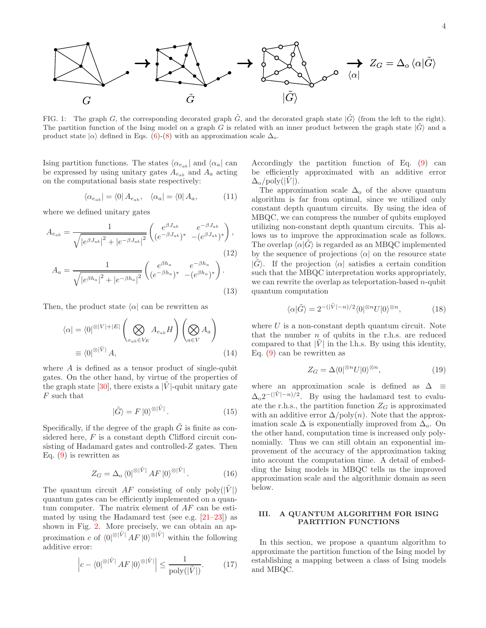

FIG. 1: The graph G, the corresponding decorated graph  $\tilde{G}$ , and the decorated graph state  $|\tilde{G}\rangle$  (from the left to the right). The partition function of the Ising model on a graph G is related with an inner product between the graph state  $|\tilde{G}\rangle$  and a product state  $|\alpha\rangle$  defined in Eqs. (6)-(8) with an approximation scale  $\Delta_{o}$ .

Ising partition functions. The states  $\langle \alpha_{e_{ab}} |$  and  $\langle \alpha_a |$  can be expressed by using unitary gates  $A_{e_{ab}}$  and  $A_a$  acting on the computational basis state respectively:

$$
\langle \alpha_{e_{ab}} | = \langle 0 | A_{e_{ab}}, \quad \langle \alpha_a | = \langle 0 | A_a, \tag{11}
$$

where we defined unitary gates

$$
A_{e_{ab}} = \frac{1}{\sqrt{|e^{\beta J_{ab}}|^2 + |e^{-\beta J_{ab}}|^2}} \begin{pmatrix} e^{\beta J_{ab}} & e^{-\beta J_{ab}} \\ (e^{-\beta J_{ab}})^* & -(e^{\beta J_{ab}})^* \end{pmatrix},
$$
  
\n
$$
A_a = \frac{1}{\sqrt{|e^{\beta h_a}|^2 + |e^{-\beta h_a}|^2}} \begin{pmatrix} e^{\beta h_a} & e^{-\beta h_a} \\ (e^{-\beta h_a})^* & -(e^{\beta h_a})^* \end{pmatrix}.
$$
  
\n(12)

$$
2 + |e^{-\beta h_a}|^2 \left( \left( e^{-\beta h_a} \right)^{1} - \left( e^{\beta h_a} \right)^{1} \right)
$$
\n(13)

Then, the product state  $|\alpha|$  can be rewritten as

$$
\langle \alpha | = \langle 0 |^{\otimes |V| + |E|} \left( \bigotimes_{e_{ab} \in V_E} A_{e_{ab}} H \right) \left( \bigotimes_{a \in V} A_a \right)
$$

$$
\equiv \langle 0 |^{\otimes |\tilde{V}|} A, \tag{14}
$$

where  $A$  is defined as a tensor product of single-qubit gates. On the other hand, by virtue of the properties of the graph state  $[30]$ , there exists a |V|-qubit unitary gate F such that

$$
|\tilde{G}\rangle = F\left|0\right>^{\otimes |\tilde{V}|}.\tag{15}
$$

Specifically, if the degree of the graph  $\tilde{G}$  is finite as considered here, F is a constant depth Clifford circuit consisting of Hadamard gates and controlled-Z gates. Then Eq. (9) is rewritten as

$$
Z_G = \Delta_o \left\langle 0 \right| \otimes |\tilde{V}| A F |0 \rangle^{\otimes |\tilde{V}|} . \tag{16}
$$

The quantum circuit AF consisting of only  $poly(|V|)$ quantum gates can be efficiently implemented on a quantum computer. The matrix element of  $AF$  can be estimated by using the Hadamard test (see e.g.  $[21-23]$ ) as shown in Fig. 2. More precisely, we can obtain an approximation c of  $\langle 0|^{\otimes |\tilde{V}|} A F |0\rangle^{\otimes |\tilde{V}|}$  within the following additive error:

$$
\left| c - \langle 0 |^{\otimes |\tilde{V}|} A F | 0 \rangle^{\otimes |\tilde{V}|} \right| \le \frac{1}{\text{poly}(|\tilde{V}|)}.
$$
 (17)

Accordingly the partition function of Eq. (9) can be efficiently approximated with an additive error  $\Delta_{\rm o}$ /poly(|V|).

The approximation scale  $\Delta_0$  of the above quantum algorithm is far from optimal, since we utilized only constant depth quantum circuits. By using the idea of MBQC, we can compress the number of qubits employed utilizing non-constant depth quantum circuits. This allows us to improve the approximation scale as follows. The overlap  $\langle \alpha | G \rangle$  is regarded as an MBQC implemented by the sequence of projections  $\alpha$  on the resource state  $|G\rangle$ . If the projection  $|\alpha|$  satisfies a certain condition such that the MBQC interpretation works appropriately, we can rewrite the overlap as teleportation-based  $n$ -qubit quantum computation

$$
\langle \alpha | \tilde{G} \rangle = 2^{-(|\tilde{V}| - n)/2} \langle 0 |^{\otimes n} U | 0 \rangle^{\otimes n}, \tag{18}
$$

where  $U$  is a non-constant depth quantum circuit. Note that the number  $n$  of qubits in the r.h.s. are reduced compared to that  $|\tilde{V}|$  in the l.h.s. By using this identity, Eq. (9) can be rewritten as

$$
Z_G = \Delta \langle 0|^{\otimes n} U | 0 \rangle^{\otimes n},\tag{19}
$$

where an approximation scale is defined as  $\Delta \equiv$  $\Delta_0 2^{-(|\tilde{V}|-n)/2}$ . By using the hadamard test to evaluate the r.h.s., the partition function  $Z_G$  is approximated with an additive error  $\Delta / \text{poly}(n)$ . Note that the approximation scale  $\Delta$  is exponentially improved from  $\Delta_{\alpha}$ . On the other hand, computation time is increased only polynomially. Thus we can still obtain an exponential improvement of the accuracy of the approximation taking into account the computation time. A detail of embedding the Ising models in MBQC tells us the improved approximation scale and the algorithmic domain as seen below.

# III. A QUANTUM ALGORITHM FOR ISING PARTITION FUNCTIONS

In this section, we propose a quantum algorithm to approximate the partition function of the Ising model by establishing a mapping between a class of Ising models and MBQC.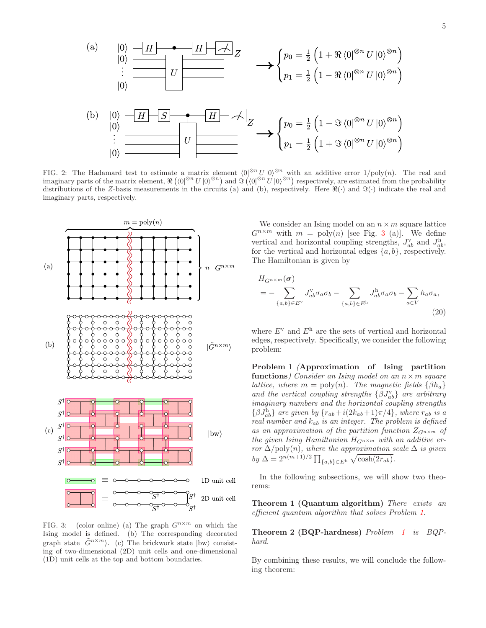

FIG. 2: The Hadamard test to estimate a matrix element  $\langle 0 \rangle^{\otimes n} U | 0 \rangle^{\otimes n}$  with an additive error  $1/\text{poly}(n)$ . The real and imaginary parts of the matrix element,  $\Re(\langle 0|^{\otimes n}U|0\rangle^{\otimes n})$  and  $\Im(\langle 0|^{\otimes n}U|0\rangle^{\otimes n})$  respectively, are estimated from the probability distributions of the Z-basis measurements in the circuits (a) and (b), respectively. Here  $\Re(\cdot)$  and  $\Im(\cdot)$  indicate the real and imaginary parts, respectively.



FIG. 3: (color online) (a) The graph  $G^{n \times m}$  on which the Ising model is defined. (b) The corresponding decorated graph state  $|\tilde{G}^{n \times m}\rangle$ . (c) The brickwork state  $|bw\rangle$  consisting of two-dimensional (2D) unit cells and one-dimensional (1D) unit cells at the top and bottom boundaries.

We consider an Ising model on an  $n \times m$  square lattice  $G^{n \times m}$  with  $m = \text{poly}(n)$  [see Fig. 3 (a)]. We define vertical and horizontal coupling strengths,  $J_{ab}^{\nu}$  and  $J_{ab}^{\nu}$ , for the vertical and horizontal edges  $\{a, b\}$ , respectively. The Hamiltonian is given by

$$
H_{G^{n\times m}}(\boldsymbol{\sigma})
$$
  
= 
$$
-\sum_{\{a,b\}\in E^{\vee}} J_{ab}^{\vee} \sigma_a \sigma_b - \sum_{\{a,b\}\in E^{\text{h}}} J_{ab}^{\text{h}} \sigma_a \sigma_b - \sum_{a\in V} h_a \sigma_a,
$$
 (20)

where  $E^{\rm v}$  and  $E^{\rm h}$  are the sets of vertical and horizontal edges, respectively. Specifically, we consider the following problem:

Problem 1 (Approximation of Ising partition functions) Consider an Ising model on an  $n \times m$  square lattice, where  $m = \text{poly}(n)$ . The magnetic fields  $\{\beta h_a\}$ and the vertical coupling strengths  $\{\beta J_{ab}^{\nu}\}$  are arbitrary imaginary numbers and the horizontal coupling strengths  $\{\beta J_{ab}^{\text{h}}\}$  are given by  $\{r_{ab}+i(2k_{ab}+1)\pi/4\}$ , where  $r_{ab}$  is a real number and  $k_{ab}$  is an integer. The problem is defined as an approximation of the partition function  $Z_{G^{n \times m}}$  of the given Ising Hamiltonian  $H_{G^{n \times m}}$  with an additive error  $\Delta$ /poly $(n)$ , where the approximation scale  $\Delta$  is given  $by \Delta = 2^{n(m+1)/2} \prod_{\{a,b\} \in E^{\text{h}}} \sqrt{\cosh(2r_{ab})}.$ 

In the following subsections, we will show two theorems:

Theorem 1 (Quantum algorithm) There exists an efficient quantum algorithm that solves Problem 1.

Theorem 2 (BQP-hardness) Problem 1 is BQPhard.

By combining these results, we will conclude the following theorem: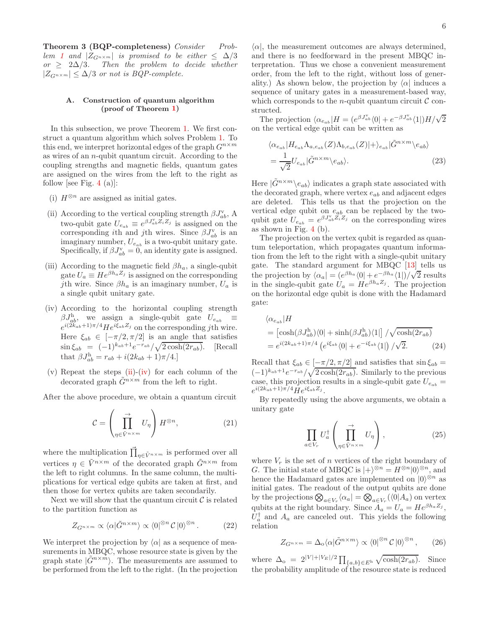Theorem 3 (BQP-completeness) Consider Problem 1 and  $|Z_{G^{n\times m}}|$  is promised to be either  $\leq \Delta/3$ or  $\geq 2\Delta/3$ . Then the problem to decide whether  $|Z_{G^{n\times m}}| \leq \Delta/3$  or not is BQP-complete.

### A. Construction of quantum algorithm (proof of Theorem 1)

In this subsection, we prove Theorem 1. We first construct a quantum algorithm which solves Problem 1. To this end, we interpret horizontal edges of the graph  $G^{n \times m}$ as wires of an n-qubit quantum circuit. According to the coupling strengths and magnetic fields, quantum gates are assigned on the wires from the left to the right as follow [see Fig. 4 (a)]:

- (i)  $H^{\otimes n}$  are assigned as initial gates.
- (ii) According to the vertical coupling strength  $\beta J_{ab}^{\nu}$ , A two-qubit gate  $U_{e_{ab}} \equiv e^{\beta J_{ab}^{\vee} Z_i Z_j}$  is assigned on the corresponding ith and jth wires. Since  $\beta J_{ab}^{\rm v}$  is an imaginary number,  $U_{e_{ab}}$  is a two-qubit unitary gate. Specifically, if  $\beta J_{ab}^{\rm v} = 0$ , an identity gate is assigned.
- (iii) According to the magnetic field  $\beta h_a$ , a single-qubit gate  $U_a \equiv H e^{\beta h_a Z_j}$  is assigned on the corresponding jth wire. Since  $\beta h_a$  is an imaginary number,  $U_a$  is a single qubit unitary gate.
- (iv) According to the horizontal coupling strength  $\beta J_{ab}^{\rm h}$ , we assign a single-qubit gate  $U_{e_{ab}} \equiv$  $e^{i(2k_{ab}+1)\pi/4}He^{i\xi_{ab}Z_j}$  on the corresponding jth wire. Here  $\xi_{ab} \in [-\pi/2, \pi/2]$  is an angle that satisfies  $\sin \xi_{ab} = (-1)^{k_{ab}+1} e^{-r_{ab}} / \sqrt{2 \cosh(2r_{ab})}.$  [Recall that  $\beta J_{ab}^{\rm h} = r_{ab} + i(2k_{ab} + 1)\pi/4.$
- (v) Repeat the steps (ii)-(iv) for each column of the decorated graph  $\tilde{G}^{n \times m}$  from the left to right.

After the above procedure, we obtain a quantum circuit

$$
\mathcal{C} = \left(\prod_{\eta \in \tilde{V}^{n \times m}}^{\rightarrow} U_{\eta}\right) H^{\otimes n},\tag{21}
$$

where the multiplication  $\vec{\prod}_{\eta \in \tilde{V}^{n \times m}}$  is performed over all vertices  $\eta \in \tilde{V}^{n \times m}$  of the decorated graph  $\tilde{G}^{n \times m}$  from the left to right columns. In the same column, the multiplications for vertical edge qubits are taken at first, and then those for vertex qubits are taken secondarily.

Next we will show that the quantum circuit  $\mathcal C$  is related to the partition function as

$$
Z_{G^{n\times m}} \propto \langle \alpha | \tilde{G}^{n\times m} \rangle \propto \langle 0 |^{\otimes n} C | 0 \rangle^{\otimes n} . \tag{22}
$$

We interpret the projection by  $\langle \alpha |$  as a sequence of measurements in MBQC, whose resource state is given by the graph state  $|\tilde{G}^{n\times m}\rangle$ . The measurements are assumed to be performed from the left to the right. (In the projection

 $\langle \alpha |$ , the measurement outcomes are always determined, and there is no feedforward in the present MBQC interpretation. Thus we chose a convenient measurement order, from the left to the right, without loss of generality.) As shown below, the projection by  $\langle \alpha |$  induces a sequence of unitary gates in a measurement-based way, which corresponds to the *n*-qubit quantum circuit  $\mathcal C$  constructed.

The projection  $\langle \alpha_{e_{ab}} | H = (e^{\beta J_{ab}^{\mathrm{v}}} \langle 0 | + e^{-\beta J_{ab}^{\mathrm{v}}} \langle 1 |) H / \sqrt{2} \rangle$ on the vertical edge qubit can be written as

$$
\langle \alpha_{e_{ab}} | H_{e_{ab}} \Lambda_{a, e_{ab}}(Z) \Lambda_{b, e_{ab}}(Z) | + \rangle_{e_{ab}} | \tilde{G}^{n \times m} \rangle_{e_{ab}} \rangle
$$
  
= 
$$
\frac{1}{\sqrt{2}} U_{e_{ab}} | \tilde{G}^{n \times m} \rangle_{e_{ab}} \rangle.
$$
 (23)

Here  $|\tilde{G}^{n \times m} \rangle_{e_{ab}}$  indicates a graph state associated with the decorated graph, where vertex  $e_{ab}$  and adjacent edges are deleted. This tells us that the projection on the vertical edge qubit on  $e_{ab}$  can be replaced by the twoqubit gate  $U_{e_{ab}} = e^{\beta J_{ab}^{\mathbf{v}} \tilde{Z}_i \tilde{Z}_j}$  on the corresponding wires as shown in Fig. 4 (b).

The projection on the vertex qubit is regarded as quantum teleportation, which propagates quantum information from the left to the right with a single-qubit unitary gate. The standard argument for MBQC [13] tells us the projection by  $\langle \alpha_a | = (e^{\beta h_a} \langle 0 | + e^{-\beta h_a} \langle 1 |)/\sqrt{2} \text{ results}$ in the single-qubit gate  $U_a = He^{\beta h_a Z_j}$ . The projection on the horizontal edge qubit is done with the Hadamard gate:

$$
\langle \alpha_{e_{ab}} | H
$$
  
=  $\left[ \cosh(\beta J_{ab}^{\text{h}}) \langle 0 | + \sinh(\beta J_{ab}^{\text{h}}) \langle 1 | \right] / \sqrt{\cosh(2r_{ab})}$   
=  $e^{i(2k_{ab}+1)\pi/4} \left( e^{i\xi_{ab}} \langle 0 | + e^{-i\xi_{ab}} \langle 1 | \right) / \sqrt{2}.$  (24)

Recall that  $\xi_{ab} \in [-\pi/2, \pi/2]$  and satisfies that  $\sin \xi_{ab} =$  $(-1)^{k_{ab}+1}e^{-r_{ab}}/\sqrt{2\cosh(2r_{ab})}$ . Similarly to the previous case, this projection results in a single-qubit gate  $U_{e_{ab}} =$  $e^{i(2k_{ab}+1)\pi/4}He^{i\xi_{ab}Z_j}.$ 

By repeatedly using the above arguments, we obtain a unitary gate

$$
\prod_{a \in V_r} U_a^{\dagger} \left( \prod_{\eta \in \tilde{V}^{n \times m}}^{\rightarrow} U_\eta \right), \tag{25}
$$

where  $V_r$  is the set of n vertices of the right boundary of G. The initial state of MBQC is  $|+\rangle^{\otimes n} = H^{\otimes n}|0\rangle^{\otimes n}$ , and hence the Hadamard gates are implemented on  $|0\rangle^{\otimes n}$  as initial gates. The readout of the output qubits are done by the projections  $\bigotimes_{a\in V_r} \langle \alpha_a| = \bigotimes_{a\in V_r} (\langle 0|A_a) \text{ on vertex} \rangle$ qubits at the right boundary. Since  $A_a = U_a = He^{\beta h_a Z_j}$ ,  $U_a^{\dagger}$  and  $A_a$  are canceled out. This yields the following relation

$$
Z_{G^{n \times m}} = \Delta_{\text{o}} \langle \alpha | \tilde{G}^{n \times m} \rangle \propto \langle 0 |^{\otimes n} C | 0 \rangle^{\otimes n}, \qquad (26)
$$

where  $\Delta_{\rm o} = 2^{|V|+|V_E|/2} \prod_{\{a,b\} \in E^{\rm h}} \sqrt{\cosh(2r_{ab})}$ . Since the probability amplitude of the resource state is reduced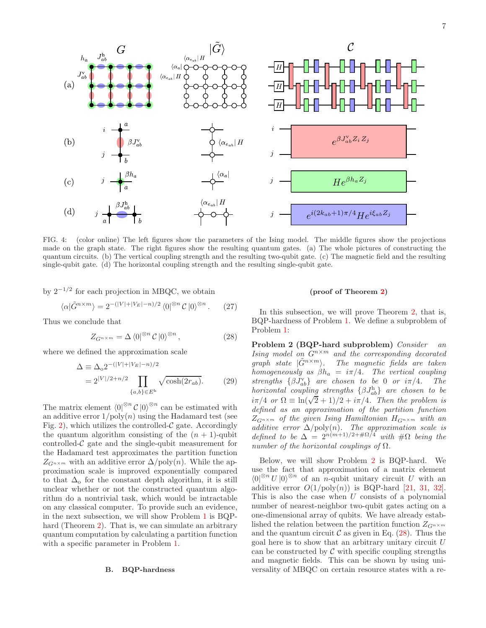

 $(d)$  $e^{i(2k_{ab}+1)\pi/4}He^{i\xi_{ab}Z_j}$ 

FIG. 4: (color online) The left figures show the parameters of the Ising model. The middle figures show the projections made on the graph state. The right figures show the resulting quantum gates. (a) The whole pictures of constructing the quantum circuits. (b) The vertical coupling strength and the resulting two-qubit gate. (c) The magnetic field and the resulting single-qubit gate. (d) The horizontal coupling strength and the resulting single-qubit gate.

by 2<sup>−</sup>1/<sup>2</sup> for each projection in MBQC, we obtain

G

 $J_{ab}^{\rm h}$ 

 $h_{\alpha}$ 

 $(a)$ 

 $(b)$ 

 $(c)$ 

$$
\langle \alpha | \tilde{G}^{n \times m} \rangle = 2^{-(|V| + |V_E| - n)/2} \langle 0 |^{\otimes n} C | 0 \rangle^{\otimes n} . \tag{27}
$$

Thus we conclude that

$$
Z_{G^{n \times m}} = \Delta \langle 0|^{\otimes n} C |0\rangle^{\otimes n}, \qquad (28)
$$

where we defined the approximation scale

$$
\Delta \equiv \Delta_0 2^{-(|V| + |V_E| - n)/2} \n= 2^{|V|/2 + n/2} \prod_{\{a,b\} \in E^{\text{h}}} \sqrt{\cosh(2r_{ab})}.
$$
\n(29)

The matrix element  $\langle 0 |^{\otimes n} C | 0 \rangle^{\otimes n}$  can be estimated with an additive error  $1/\text{poly}(n)$  using the Hadamard test (see Fig. 2), which utilizes the controlled- $\mathcal C$  gate. Accordingly the quantum algorithm consisting of the  $(n + 1)$ -qubit controlled- $\mathcal C$  gate and the single-qubit measurement for the Hadamard test approximates the partition function  $Z_{G^{n\times m}}$  with an additive error  $\Delta / \text{poly}(n)$ . While the approximation scale is improved exponentially compared to that  $\Delta_0$  for the constant depth algorithm, it is still unclear whether or not the constructed quantum algorithm do a nontrivial task, which would be intractable on any classical computer. To provide such an evidence, in the next subsection, we will show Problem 1 is BQPhard (Theorem 2). That is, we can simulate an arbitrary quantum computation by calculating a partition function with a specific parameter in Problem 1.

### B. BQP-hardness

### (proof of Theorem 2)

 $He^{\beta h_a Z_j}$ 

In this subsection, we will prove Theorem 2, that is, BQP-hardness of Problem 1. We define a subproblem of Problem 1:

Problem 2 (BQP-hard subproblem) Consider an Ising model on  $G^{n \times m}$  and the corresponding decorated graph state  $|\tilde{G}^{n\times m}\rangle$ . The magnetic fields are taken homogeneously as  $\beta h_a = i\pi/4$ . The vertical coupling strengths  $\{\beta J_{ab}^{\nu}\}$  are chosen to be 0 or  $i\pi/4$ . The  $horizontal\ \ coupling\ \ strengths\ \ \{\beta J_{ab}^{\rm h}\}\ \ are\ chosen\ \ to\ \ be$  $i\pi/4$  or  $\Omega = \ln(\sqrt{2} + 1)/2 + i\pi/4$ . Then the problem is defined as an approximation of the partition function  $Z_{G^{n\times m}}$  of the given Ising Hamiltonian  $H_{G^{n\times m}}$  with an additive error  $\Delta/\text{poly}(n)$ . The approximation scale is defined to be  $\Delta = 2^{n(m+1)/2+\#\Omega/4}$  with  $\#\Omega$  being the number of the horizontal couplings of  $\Omega$ .

Below, we will show Problem 2 is BQP-hard. We use the fact that approximation of a matrix element  $\langle 0 |^{\otimes n} U | 0 \rangle^{\otimes n}$  of an n-qubit unitary circuit U with an additive error  $O(1/\text{poly}(n))$  is BQP-hard [21, 31, 32]. This is also the case when  $U$  consists of a polynomial number of nearest-neighbor two-qubit gates acting on a one-dimensional array of qubits. We have already established the relation between the partition function  $Z_{G^{n \times m}}$ and the quantum circuit  $\mathcal C$  as given in Eq. (28). Thus the goal here is to show that an arbitrary unitary circuit U can be constructed by  $\mathcal C$  with specific coupling strengths and magnetic fields. This can be shown by using universality of MBQC on certain resource states with a re-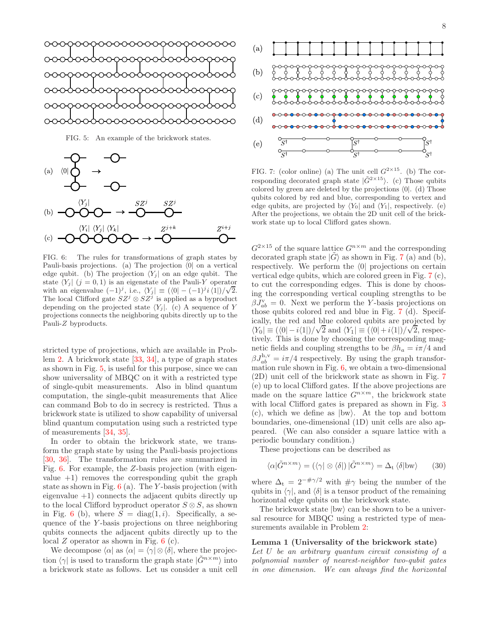FIG. 5: An example of the brickwork states.



FIG. 6: The rules for transformations of graph states by Pauli-basis projections. (a) The projection  $\langle 0|$  on a vertical edge qubit. (b) The projection  $\langle Y_i |$  on an edge qubit. The state  $\langle Y_i | (j = 0, 1)$  is an eigenstate of the Pauli-Y operator with an eigenvalue  $(-1)^j$ , i.e.,  $\langle Y_j | \equiv (\langle 0 | - (-1)^j i \langle 1 |)/\sqrt{2} \rangle$ . The local Clifford gate  $SZ^j \otimes SZ^j$  is applied as a byproduct depending on the projected state  $\langle Y_j |$ . (c) A sequence of Y projections connects the neighboring qubits directly up to the Pauli-Z byproducts.

stricted type of projections, which are available in Problem 2. A brickwork state [33, 34], a type of graph states as shown in Fig. 5, is useful for this purpose, since we can show universality of MBQC on it with a restricted type of single-qubit measurements. Also in blind quantum computation, the single-qubit measurements that Alice can command Bob to do in secrecy is restricted. Thus a brickwork state is utilized to show capability of universal blind quantum computation using such a restricted type of measurements [34, 35].

In order to obtain the brickwork state, we transform the graph state by using the Pauli-basis projections [30, 36]. The transformation rules are summarized in Fig. 6. For example, the Z-basis projection (with eigenvalue  $+1$ ) removes the corresponding qubit the graph state as shown in Fig.  $6$  (a). The Y-basis projection (with eigenvalue  $+1$ ) connects the adjacent qubits directly up to the local Clifford byproduct operator  $S \otimes S$ , as shown in Fig. 6 (b), where  $S = diag(1, i)$ . Specifically, a sequence of the Y -basis projections on three neighboring qubits connects the adjacent qubits directly up to the local  $Z$  operator as shown in Fig.  $6$  (c).

We decompose  $\langle \alpha |$  as  $\langle \alpha | = \langle \gamma | \otimes \langle \delta |$ , where the projection  $\langle \gamma |$  is used to transform the graph state  $|\tilde{G}^{n \times m}\rangle$  into a brickwork state as follows. Let us consider a unit cell



FIG. 7: (color online) (a) The unit cell  $G^{2\times 15}$ . (b) The corresponding decorated graph state  $|\tilde{G}^{2\times15}\rangle$ . (c) Those qubits colored by green are deleted by the projections  $\langle 0|$ . (d) Those qubits colored by red and blue, corresponding to vertex and edge qubits, are projected by  $\langle Y_0|$  and  $\langle Y_1|$ , respectively. (e) After the projections, we obtain the 2D unit cell of the brickwork state up to local Clifford gates shown.

 $G^{2\times 15}$  of the square lattice  $G^{n\times m}$  and the corresponding decorated graph state  $|G\rangle$  as shown in Fig. 7 (a) and (b), respectively. We perform the  $\langle 0|$  projections on certain vertical edge qubits, which are colored green in Fig. 7 (c), to cut the corresponding edges. This is done by choosing the corresponding vertical coupling strengths to be  $\beta J_{ab}^{\rm v}=0$ . Next we perform the Y-basis projections on those qubits colored red and blue in Fig. 7 (d). Specifically, the red and blue colored qubits are projected by  $\langle Y_0 | \equiv (\langle 0 | -i \langle 1 | \rangle) / \sqrt{2}$  and  $\langle Y_1 | \equiv (\langle 0 | +i \langle 1 | \rangle) / \sqrt{2}$ , respectively. This is done by choosing the corresponding magnetic fields and coupling strengths to be  $\beta h_a = i\pi/4$  and  $\beta J_{ab}^{\text{h,v}} = i\pi/4$  respectively. By using the graph transformation rule shown in Fig. 6, we obtain a two-dimensional (2D) unit cell of the brickwork state as shown in Fig. 7 (e) up to local Clifford gates. If the above projections are made on the square lattice  $G^{n \times m}$ , the brickwork state with local Clifford gates is prepared as shown in Fig. 3 (c), which we define as  $|bw\rangle$ . At the top and bottom boundaries, one-dimensional (1D) unit cells are also appeared. (We can also consider a square lattice with a periodic boundary condition.)

These projections can be described as

$$
\langle \alpha | \tilde{G}^{n \times m} \rangle = (\langle \gamma | \otimes \langle \delta |) | \tilde{G}^{n \times m} \rangle = \Delta_{\rm t} \langle \delta | \text{bw} \rangle \qquad (30)
$$

where  $\Delta_t = 2^{-\#\gamma/2}$  with  $\#\gamma$  being the number of the qubits in  $\langle \gamma |$ , and  $\langle \delta |$  is a tensor product of the remaining horizontal edge qubits on the brickwork state.

The brickwork state  $|bw\rangle$  can be shown to be a universal resource for MBQC using a restricted type of measurements available in Problem 2:

# Lemma 1 (Universality of the brickwork state)

Let U be an arbitrary quantum circuit consisting of a polynomial number of nearest-neighbor two-qubit gates in one dimension. We can always find the horizontal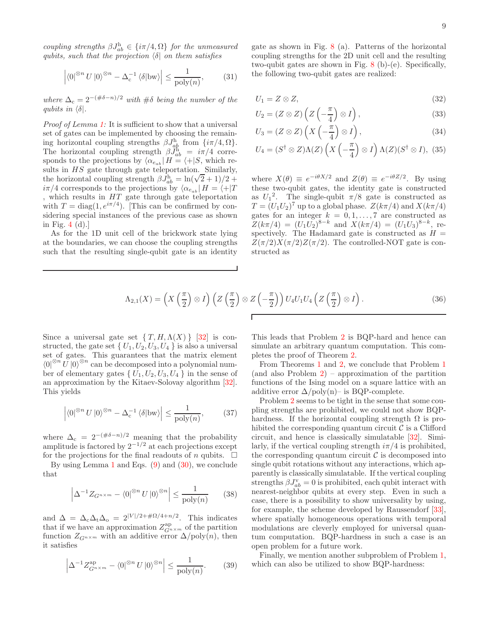coupling strengths  $\beta J_{ab}^{\text{h}} \in {\lbrace i\pi/4, \Omega \rbrace}$  for the unmeasured qubits, such that the projection  $\delta$  on them satisfies

$$
\left| \langle 0|^{\otimes n} U | 0 \rangle^{\otimes n} - \Delta_{\mathbf{c}}^{-1} \langle \delta | \mathbf{b} \mathbf{w} \rangle \right| \le \frac{1}{\text{poly}(n)},\tag{31}
$$

where  $\Delta_c = 2^{-(\#\delta - n)/2}$  with  $\#\delta$  being the number of the qubits in  $\langle \delta |$ .

Proof of Lemma 1: It is sufficient to show that a universal set of gates can be implemented by choosing the remaining horizontal coupling strengths  $\beta J_{ab}^{\text{h}}$  from  $\{i\pi/4, \Omega\}$ . The horizontal coupling strength  $\beta \bar{J}_{ab}^{\text{h}} = i\pi/4$  corresponds to the projections by  $\langle \alpha_{e_{ab}} | H = \langle +|S, \text{ which re-} \rangle$ sults in HS gate through gate teleportation. Similarly, the horizontal coupling strength  $\beta J_{ab}^{\dagger} = \ln(\sqrt{2} + 1)/2 +$  $i\pi/4$  corresponds to the projections by  $\langle \alpha_{e_{ab}} | H = \langle +|T| \rangle$ , which results in  $HT$  gate through gate teleportation with  $T = \text{diag}(1, e^{i\pi/4})$ . [This can be confirmed by considering special instances of the previous case as shown in Fig. 4 (d).]

As for the 1D unit cell of the brickwork state lying at the boundaries, we can choose the coupling strengths such that the resulting single-qubit gate is an identity

gate as shown in Fig. 8 (a). Patterns of the horizontal coupling strengths for the 2D unit cell and the resulting two-qubit gates are shown in Fig. 8 (b)-(e). Specifically, the following two-qubit gates are realized:

$$
U_1 = Z \otimes Z,\tag{32}
$$

$$
U_2 = (Z \otimes Z) \left( Z \left( -\frac{\pi}{4} \right) \otimes I \right), \tag{33}
$$

$$
U_3 = (Z \otimes Z) \left( X \left( -\frac{\pi}{4} \right) \otimes I \right), \tag{34}
$$

$$
U_4 = (S^{\dagger} \otimes Z) \Lambda(Z) \left( X \left( -\frac{\pi}{4} \right) \otimes I \right) \Lambda(Z) (S^{\dagger} \otimes I), \tag{35}
$$

where  $X(\theta) \equiv e^{-i\theta X/2}$  and  $Z(\theta) \equiv e^{-i\theta Z/2}$ . By using these two-qubit gates, the identity gate is constructed as  $U_1^2$ . The single-qubit  $\pi/8$  gate is constructed as  $T = (U_1 U_2)^7$  up to a global phase.  $Z(k\pi/4)$  and  $X(k\pi/4)$ gates for an integer  $k = 0, 1, \ldots, 7$  are constructed as  $Z(k\pi/4) = (U_1U_2)^{8-k}$  and  $X(k\pi/4) = (U_1U_3)^{8-k}$ , respectively. The Hadamard gate is constructed as  $H =$  $Z(\pi/2)X(\pi/2)Z(\pi/2)$ . The controlled-NOT gate is constructed as

$$
\Lambda_{2,1}(X) = \left(X\left(\frac{\pi}{2}\right)\otimes I\right)\left(Z\left(\frac{\pi}{2}\right)\otimes Z\left(-\frac{\pi}{2}\right)\right)U_4U_1U_4\left(Z\left(\frac{\pi}{2}\right)\otimes I\right).
$$
\n(36)

Since a universal gate set  $\{T, H, \Lambda(X)\}\$  [32] is constructed, the gate set  $\{U_1, U_2, U_3, U_4\}$  is also a universal set of gates. This guarantees that the matrix element  $\langle 0|^{\otimes n} U | 0 \rangle^{\otimes n}$  can be decomposed into a polynomial number of elementary gates  $\{U_1, U_2, U_3, U_4\}$  in the sense of an approximation by the Kitaev-Solovay algorithm [32]. This yields

$$
\left| \langle 0 |^{\otimes n} U | 0 \rangle^{\otimes n} - \Delta_{\mathsf{c}}^{-1} \langle \delta | \mathsf{bw} \rangle \right| \le \frac{1}{\text{poly}(n)},\tag{37}
$$

where  $\Delta_c = 2^{-(\#\delta - n)/2}$  meaning that the probability amplitude is factored by  $2^{-1/2}$  at each projections except for the projections for the final readouts of n qubits.  $\Box$ 

By using Lemma 1 and Eqs.  $(9)$  and  $(30)$ , we conclude that

$$
\left| \Delta^{-1} Z_{G^{n \times m}} - \langle 0 |^{\otimes n} U | 0 \rangle^{\otimes n} \right| \le \frac{1}{\text{poly}(n)} \tag{38}
$$

and  $\Delta = \Delta_c \Delta_t \Delta_o = 2^{|V|/2 + \# \Omega/4 + n/2}$ . This indicates that if we have an approximation  $Z_{G^{n \times m}}^{ap}$  of the partition function  $Z_{G^{n\times m}}$  with an additive error  $\Delta/\text{poly}(n)$ , then it satisfies

$$
\left|\Delta^{-1}Z_{G^{n \times m}}^{\text{ap}} - \langle 0|^{\otimes n} U |0\rangle^{\otimes n}\right| \le \frac{1}{\text{poly}(n)}.\tag{39}
$$

This leads that Problem 2 is BQP-hard and hence can simulate an arbitrary quantum computation. This completes the proof of Theorem 2.

From Theorems 1 and 2, we conclude that Problem 1 (and also Problem  $2$ ) – approximation of the partition functions of the Ising model on a square lattice with an additive error  $\Delta$ /poly(n)– is BQP-complete.

Problem 2 seems to be tight in the sense that some coupling strengths are prohibited, we could not show BQPhardness. If the horizontal coupling strength  $\Omega$  is prohibited the corresponding quantum circuit  $\mathcal C$  is a Clifford circuit, and hence is classically simulatable [32]. Similarly, if the vertical coupling strength  $i\pi/4$  is prohibited, the corresponding quantum circuit  $\mathcal C$  is decomposed into single qubit rotations without any interactions, which apparently is classically simulatable. If the vertical coupling strengths  $\beta J_{ab}^{\rm v} = 0$  is prohibited, each qubit interact with nearest-neighbor qubits at every step. Even in such a case, there is a possibility to show universality by using, for example, the scheme developed by Raussendorf [33], where spatially homogeneous operations with temporal modulations are cleverly employed for universal quantum computation. BQP-hardness in such a case is an open problem for a future work.

Finally, we mention another subproblem of Problem 1, which can also be utilized to show BQP-hardness: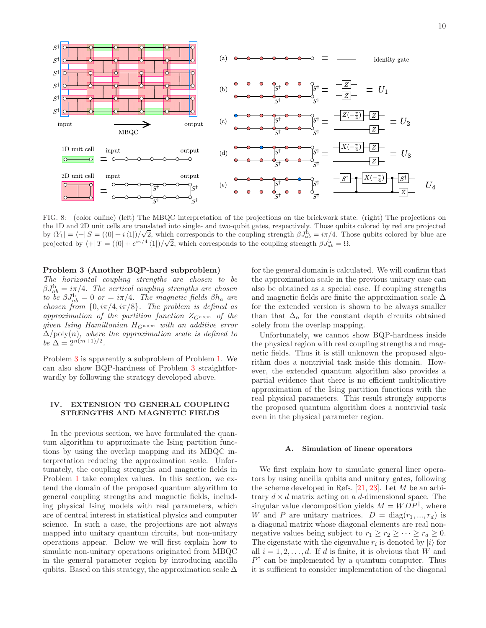

FIG. 8: (color online) (left) The MBQC interpretation of the projections on the brickwork state. (right) The projections on the 1D and 2D unit cells are translated into single- and two-qubit gates, respectively. Those qubits colored by red are projected by  $\langle Y_1 | = \langle + | S = (\langle 0 | + i \langle 1 |)/\sqrt{2}, \text{ which corresponds to the coupling strength } \beta J_{ab}^{\text{h}} = i\pi/4.$  Those qubits colored by blue are projected by  $\langle +|T| = (\langle 0| + e^{i\pi/4} \langle 1|)/\sqrt{2}$ , which corresponds to the coupling strength  $\beta J_{ab}^{\text{h}} = \Omega$ .

### Problem 3 (Another BQP-hard subproblem)

The horizontal coupling strengths are chosen to be  $\beta J_{ab}^{\rm h}=i\pi/4$ . The vertical coupling strengths are chosen to be  $\beta J_{ab}^{\text{h}} = 0$  or  $= i\pi/4$ . The magnetic fields  $\beta h_a$  are chosen from  $\{0, i\pi/4, i\pi/8\}$ . The problem is defined as approximation of the partition function  $Z_{G^{n \times m}}$  of the given Ising Hamiltonian  $H_{G^{n \times m}}$  with an additive error  $\Delta/\text{poly}(n)$ , where the approximation scale is defined to be  $\Delta = 2^{n(m+1)/2}$ .

Problem 3 is apparently a subproblem of Problem 1. We can also show BQP-hardness of Problem 3 straightforwardly by following the strategy developed above.

### IV. EXTENSION TO GENERAL COUPLING STRENGTHS AND MAGNETIC FIELDS

In the previous section, we have formulated the quantum algorithm to approximate the Ising partition functions by using the overlap mapping and its MBQC interpretation reducing the approximation scale. Unfortunately, the coupling strengths and magnetic fields in Problem 1 take complex values. In this section, we extend the domain of the proposed quantum algorithm to general coupling strengths and magnetic fields, including physical Ising models with real parameters, which are of central interest in statistical physics and computer science. In such a case, the projections are not always mapped into unitary quantum circuits, but non-unitary operations appear. Below we will first explain how to simulate non-unitary operations originated from MBQC in the general parameter region by introducing ancilla qubits. Based on this strategy, the approximation scale  $\Delta$ 

for the general domain is calculated. We will confirm that the approximation scale in the previous unitary case can also be obtained as a special case. If coupling strengths and magnetic fields are finite the approximation scale  $\Delta$ for the extended version is shown to be always smaller than that  $\Delta_0$  for the constant depth circuits obtained solely from the overlap mapping.

Unfortunately, we cannot show BQP-hardness inside the physical region with real coupling strengths and magnetic fields. Thus it is still unknown the proposed algorithm does a nontrivial task inside this domain. However, the extended quantum algorithm also provides a partial evidence that there is no efficient multiplicative approximation of the Ising partition functions with the real physical parameters. This result strongly supports the proposed quantum algorithm does a nontrivial task even in the physical parameter region.

### A. Simulation of linear operators

We first explain how to simulate general liner operators by using ancilla qubits and unitary gates, following the scheme developed in Refs.  $[21, 23]$ . Let M be an arbitrary  $d \times d$  matrix acting on a d-dimensional space. The singular value decomposition yields  $M = WDP^{\dagger}$ , where W and P are unitary matrices.  $D = diag(r_1, ..., r_d)$  is a diagonal matrix whose diagonal elements are real nonnegative values being subject to  $r_1 \ge r_2 \ge \cdots \ge r_d \ge 0$ . The eigenstate with the eigenvalue  $r_i$  is denoted by  $|i\rangle$  for all  $i = 1, 2, \ldots, d$ . If d is finite, it is obvious that W and  $P^{\dagger}$  can be implemented by a quantum computer. Thus it is sufficient to consider implementation of the diagonal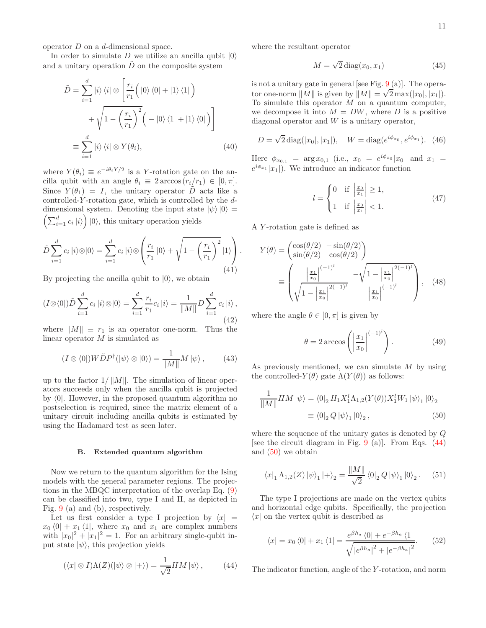operator D on a d-dimensional space.

In order to simulate D we utilize an ancilla qubit  $|0\rangle$ and a unitary operation  $\tilde{D}$  on the composite system

$$
\tilde{D} = \sum_{i=1}^{d} |i\rangle \langle i| \otimes \left[ \frac{r_i}{r_1} \Big( |0\rangle \langle 0| + |1\rangle \langle 1| \Big) + \sqrt{1 - \left( \frac{r_i}{r_1} \right)^2} \Big( - |0\rangle \langle 1| + |1\rangle \langle 0| \Big) \right]
$$

$$
\equiv \sum_{i=1}^{d} |i\rangle \langle i| \otimes Y(\theta_i), \tag{40}
$$

where  $Y(\theta_i) \equiv e^{-i\theta_i Y/2}$  is a Y-rotation gate on the ancilla qubit with an angle  $\theta_i \equiv 2 \arccos(r_i/r_1) \in [0, \pi]$ . Since  $Y(\theta_1) = I$ , the unitary operator  $\tilde{D}$  acts like a controlled-Y-rotation gate, which is controlled by the  $d$ dimensional system. Denoting the input state  $|\psi\rangle|0\rangle = \left(\sum_{i=1}^d c_i |i\rangle\right)|0\rangle$ , this unitary operation yields

$$
\tilde{D} \sum_{i=1}^{d} c_i |i\rangle \otimes |0\rangle = \sum_{i=1}^{d} c_i |i\rangle \otimes \left(\frac{r_i}{r_1} |0\rangle + \sqrt{1 - \left(\frac{r_i}{r_1}\right)^2} |1\rangle\right). \tag{41}
$$

By projecting the ancilla qubit to  $|0\rangle$ , we obtain

$$
(I \otimes \langle 0 |) \tilde{D} \sum_{i=1}^{d} c_i |i\rangle \otimes |0\rangle = \sum_{i=1}^{d} \frac{r_i}{r_1} c_i |i\rangle = \frac{1}{\|M\|} D \sum_{i=1}^{d} c_i |i\rangle,
$$
\n(42)

where  $||M|| \equiv r_1$  is an operator one-norm. Thus the linear operator M is simulated as

$$
(I \otimes \langle 0|) W \tilde{D} P^{\dagger}(|\psi\rangle \otimes |0\rangle) = \frac{1}{\|M\|} M |\psi\rangle , \qquad (43)
$$

up to the factor  $1/||M||$ . The simulation of linear operators succeeds only when the ancilla qubit is projected by  $\langle 0|$ . However, in the proposed quantum algorithm no postselection is required, since the matrix element of a unitary circuit including ancilla qubits is estimated by using the Hadamard test as seen later.

### B. Extended quantum algorithm

Now we return to the quantum algorithm for the Ising models with the general parameter regions. The projections in the MBQC interpretation of the overlap Eq. (9) can be classified into two, type I and II, as depicted in Fig. 9 (a) and (b), respectively.

Let us first consider a type I projection by  $\langle x| =$  $x_0$   $\langle 0| + x_1 \langle 1|$ , where  $x_0$  and  $x_1$  are complex numbers with  $|x_0|^2 + |x_1|^2 = 1$ . For an arbitrary single-qubit input state  $|\psi\rangle$ , this projection yields

$$
(\langle x | \otimes I) \Lambda(Z) (|\psi\rangle \otimes |+\rangle) = \frac{1}{\sqrt{2}} HM |\psi\rangle , \qquad (44)
$$

where the resultant operator

$$
M = \sqrt{2} \operatorname{diag}(x_0, x_1) \tag{45}
$$

is not a unitary gate in general [see Fig.  $9(a)$ ]. The operator one-norm  $||M||$  is given by  $||M|| = \sqrt{2} \max(|x_0|, |x_1|)$ . To simulate this operator  $M$  on a quantum computer, we decompose it into  $M = DW$ , where D is a positive diagonal operator and  $W$  is a unitary operator,

$$
D = \sqrt{2} \operatorname{diag}(|x_0|, |x_1|), \quad W = \operatorname{diag}(e^{i\phi_{x_0}}, e^{i\phi_{x_1}}). \tag{46}
$$

Here  $\phi_{x_{0,1}} = \arg x_{0,1}$  (i.e.,  $x_0 = e^{i\phi_{x_0}} |x_0|$  and  $x_1 =$  $e^{i\phi_{x_1}}|x_1|$ ). We introduce an indicator function

$$
l = \begin{cases} 0 & \text{if } \left| \frac{x_0}{x_1} \right| \ge 1, \\ 1 & \text{if } \left| \frac{x_0}{x_1} \right| < 1. \end{cases}
$$
 (47)

A Y -rotation gate is defined as

$$
Y(\theta) = \begin{pmatrix} \cos(\theta/2) & -\sin(\theta/2) \\ \sin(\theta/2) & \cos(\theta/2) \end{pmatrix}
$$
  

$$
\equiv \begin{pmatrix} \left| \frac{x_1}{x_0} \right|^{(-1)^l} - \sqrt{1 - \left| \frac{x_1}{x_0} \right|^{2(-1)^l}} \\ \sqrt{1 - \left| \frac{x_1}{x_0} \right|^{2(-1)^l}} & \left| \frac{x_1}{x_0} \right|^{(-1)^l} \end{pmatrix}, \quad (48)
$$

where the angle  $\theta \in [0, \pi]$  is given by

$$
\theta = 2 \arccos \left( \left| \frac{x_1}{x_0} \right|^{(-1)^l} \right). \tag{49}
$$

As previously mentioned, we can simulate  $M$  by using the controlled- $Y(\theta)$  gate  $\Lambda(Y(\theta))$  as follows:

$$
\frac{1}{\|M\|}HM|\psi\rangle = \langle 0|_2 H_1 X_1^l \Lambda_{1,2}(Y(\theta)) X_1^l W_1 |\psi\rangle_1 |0\rangle_2
$$
  

$$
\equiv \langle 0|_2 Q |\psi\rangle_1 |0\rangle_2 , \qquad (50)
$$

where the sequence of the unitary gates is denoted by Q [see the circuit diagram in Fig.  $9$  (a)]. From Eqs. (44) and (50) we obtain

$$
\langle x|_1 \Lambda_{1,2}(Z) |\psi\rangle_1 |+\rangle_2 = \frac{\|M\|}{\sqrt{2}} \langle 0|_2 Q |\psi\rangle_1 |0\rangle_2. \quad (51)
$$

The type I projections are made on the vertex qubits and horizontal edge qubits. Specifically, the projection  $\langle x |$  on the vertex qubit is described as

$$
\langle x | = x_0 \langle 0 | + x_1 \langle 1 | = \frac{e^{\beta h_a} \langle 0 | + e^{-\beta h_a} \langle 1 |}{\sqrt{|e^{\beta h_a}|^2 + |e^{-\beta h_a}|^2}}. \tag{52}
$$

The indicator function, angle of the Y -rotation, and norm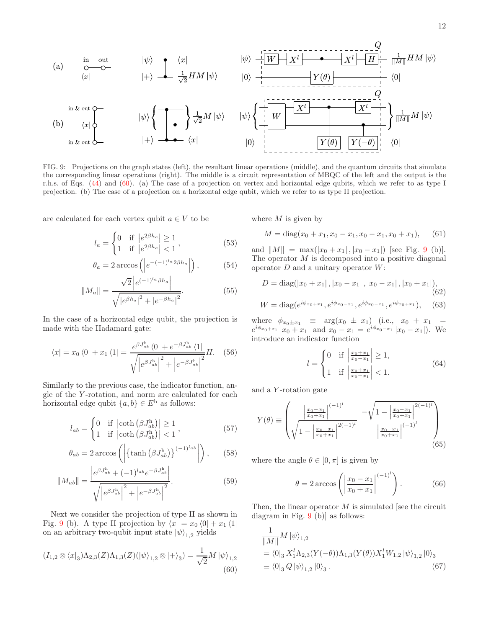12



FIG. 9: Projections on the graph states (left), the resultant linear operations (middle), and the quantum circuits that simulate the corresponding linear operations (right). The middle is a circuit representation of MBQC of the left and the output is the r.h.s. of Eqs. (44) and (60). (a) The case of a projection on vertex and horizontal edge qubits, which we refer to as type I projection. (b) The case of a projection on a horizontal edge qubit, which we refer to as type II projection.

are calculated for each vertex qubit  $a \in V$  to be

$$
l_a = \begin{cases} 0 & \text{if } \left| e^{2\beta h_a} \right| \ge 1 \\ 1 & \text{if } \left| e^{2\beta h_a} \right| < 1 \end{cases},\tag{53}
$$

$$
\theta_a = 2 \arccos \left( \left| e^{-(-1)^{l_a} 2\beta h_a} \right| \right), \tag{54}
$$

$$
||M_a|| = \frac{\sqrt{2} |e^{(-1)^{l_a} \beta h_a}|}{\sqrt{|e^{\beta h_a}|^2 + |e^{-\beta h_a}|^2}}.
$$
\n(55)

In the case of a horizontal edge qubit, the projection is made with the Hadamard gate:

$$
\langle x | = x_0 \langle 0 | + x_1 \langle 1 | = \frac{e^{\beta J_{ab}^{\text{h}}} \langle 0 | + e^{-\beta J_{ab}^{\text{h}}} \langle 1 |}{\sqrt{\left| e^{\beta J_{ab}^{\text{h}}} \right|^2 + \left| e^{-\beta J_{ab}^{\text{h}}} \right|^2}} H. \quad (56)
$$

Similarly to the previous case, the indicator function, angle of the Y -rotation, and norm are calculated for each horizontal edge qubit  ${a, b} \in E^h$  as follows:

$$
l_{ab} = \begin{cases} 0 & \text{if } \left| \coth \left( \beta J_{ab}^{\text{h}} \right) \right| \ge 1 \\ 1 & \text{if } \left| \coth \left( \beta J_{ab}^{\text{h}} \right) \right| < 1 \end{cases}, \tag{57}
$$

$$
\theta_{ab} = 2 \arccos \left( \left| \left\{ \tanh \left( \beta J_{ab}^{\mathrm{h}} \right) \right\}^{(-1)^{l_{ab}}} \right| \right), \qquad (58)
$$

$$
||M_{ab}|| = \frac{\left|e^{\beta J_{ab}^{\mathrm{h}}} + (-1)^{l_{ab}} e^{-\beta J_{ab}^{\mathrm{h}}} \right|}{\sqrt{\left|e^{\beta J_{ab}^{\mathrm{h}}} \right|^{2} + \left|e^{-\beta J_{ab}^{\mathrm{h}}} \right|^{2}}}.
$$
\n(59)

Next we consider the projection of type II as shown in Fig. 9 (b). A type II projection by  $\langle x| = x_0 \langle 0| + x_1 \langle 1|$ on an arbitrary two-qubit input state  $|\psi\rangle_{1,2}$  yields

$$
(I_{1,2} \otimes \langle x|_3) \Lambda_{2,3}(Z) \Lambda_{1,3}(Z) (\vert \psi \rangle_{1,2} \otimes \vert + \rangle_3) = \frac{1}{\sqrt{2}} M \vert \psi \rangle_{1,2}
$$
(60)

where  $M$  is given by

$$
M = diag(x_0 + x_1, x_0 - x_1, x_0 - x_1, x_0 + x_1),
$$
 (61)

and  $||M|| = \max(|x_0 + x_1|, |x_0 - x_1|)$  [see Fig. 9 (b)]. The operator  $M$  is decomposed into a positive diagonal operator  $D$  and a unitary operator  $W$ :

$$
D = \text{diag}(|x_0 + x_1|, |x_0 - x_1|, |x_0 - x_1|, |x_0 + x_1|),
$$
\n(62)  
\n
$$
W = \text{diag}(e^{i\phi_{x_0 + x_1}}, e^{i\phi_{x_0 - x_1}}, e^{i\phi_{x_0 - x_1}}, e^{i\phi_{x_0 + x_1}}),
$$

where  $\phi_{x_0 \pm x_1} \equiv \arg(x_0 \pm x_1)$  (i.e.,  $x_0 + x_1 =$  $e^{i\phi_{x_0+x_1}}|x_0+x_1|$  and  $x_0-x_1=e^{i\phi_{x_0-x_1}}|x_0-x_1|$ ). We introduce an indicator function

$$
l = \begin{cases} 0 & \text{if } \left| \frac{x_0 + x_1}{x_0 - x_1} \right| \ge 1, \\ 1 & \text{if } \left| \frac{x_0 + x_1}{x_0 - x_1} \right| < 1. \end{cases}
$$
(64)

and a Y -rotation gate

$$
Y(\theta) \equiv \begin{pmatrix} \left| \frac{x_0 - x_1}{x_0 + x_1} \right|^{(-1)^l} - \sqrt{1 - \left| \frac{x_0 - x_1}{x_0 + x_1} \right|^{2(-1)^l}} \\ \sqrt{1 - \left| \frac{x_0 - x_1}{x_0 + x_1} \right|^{2(-1)^l}} & \left| \frac{x_0 - x_1}{x_0 + x_1} \right|^{(-1)^l} \end{pmatrix}
$$
(65)

where the angle  $\theta \in [0, \pi]$  is given by

$$
\theta = 2 \arccos \left( \left| \frac{x_0 - x_1}{x_0 + x_1} \right|^{(-1)^l} \right).
$$
\n(66)

Then, the linear operator  $M$  is simulated [see the circuit diagram in Fig. 9 (b)] as follows:

$$
\frac{1}{\|M\|} M |\psi\rangle_{1,2} \n= \langle 0|_3 X_1^l \Lambda_{2,3} (Y(-\theta)) \Lambda_{1,3} (Y(\theta)) X_1^l W_{1,2} |\psi\rangle_{1,2} |0\rangle_3 \n\equiv \langle 0|_3 Q |\psi\rangle_{1,2} |0\rangle_3.
$$
\n(67)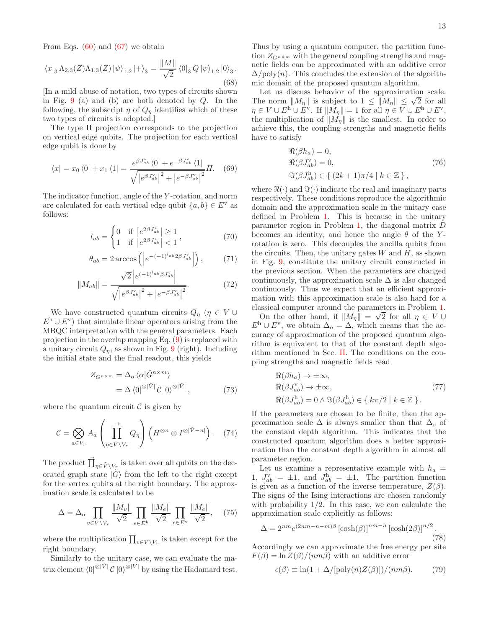From Eqs.  $(60)$  and  $(67)$  we obtain

$$
\langle x|_3 \Lambda_{2,3}(Z) \Lambda_{1,3}(Z) |\psi\rangle_{1,2} |+\rangle_3 = \frac{\|M\|}{\sqrt{2}} \langle 0|_3 Q |\psi\rangle_{1,2} |0\rangle_3.
$$
\n(68)

[In a mild abuse of notation, two types of circuits shown in Fig.  $9$  (a) and (b) are both denoted by  $Q$ . In the following, the subscript  $\eta$  of  $Q_n$  identifies which of these two types of circuits is adopted.]

The type II projection corresponds to the projection on vertical edge qubits. The projection for each vertical edge qubit is done by

$$
\langle x | = x_0 \langle 0 | + x_1 \langle 1 | = \frac{e^{\beta J_{ab}^{\mathrm{v}}} \langle 0 | + e^{-\beta J_{ab}^{\mathrm{v}}} \langle 1 |}{\sqrt{|e^{\beta J_{ab}^{\mathrm{v}}} |^2 + |e^{-\beta J_{ab}^{\mathrm{v}}} |^2}} H. \quad (69)
$$

The indicator function, angle of the Y -rotation, and norm are calculated for each vertical edge qubit  $\{a, b\} \in E^{\vee}$  as follows:

$$
l_{ab} = \begin{cases} 0 & \text{if } |e^{2\beta J_{ab}^{v}}| \ge 1 \\ 1 & \text{if } |e^{2\beta J_{ab}^{v}}| < 1 \end{cases},
$$
 (70)

$$
\theta_{ab} = 2 \arccos \left( \left| e^{-(-1)^{l_{ab}} 2\beta J_{ab}^{\mathrm{v}}} \right| \right), \tag{71}
$$

$$
||M_{ab}|| = \frac{\sqrt{2} |e^{(-1)^{l_{ab}} \beta J_{ab}^{\mathbf{v}}}|}{\sqrt{|e^{\beta J_{ab}^{\mathbf{v}}}|^2 + |e^{-\beta J_{ab}^{\mathbf{v}}}|^2}}.
$$
(72)

We have constructed quantum circuits  $Q_{\eta}$  ( $\eta \in V \cup$  $E^h \cup E^v$  that simulate linear operators arising from the MBQC interpretation with the general parameters. Each projection in the overlap mapping Eq. (9) is replaced with a unitary circuit  $Q_n$ , as shown in Fig. 9 (right). Including the initial state and the final readout, this yields

$$
Z_{G^{n \times m}} = \Delta_{\text{o}} \langle \alpha | \tilde{G}^{n \times m} \rangle
$$
  
=  $\Delta \langle 0 |^{\otimes |\tilde{V}|} C | 0 \rangle^{\otimes |\tilde{V}|},$  (73)

where the quantum circuit  $\mathcal C$  is given by

$$
C = \bigotimes_{a \in V_r} A_a \left( \prod_{\eta \in \tilde{V} \setminus V_r}^{\rightarrow} Q_{\eta} \right) \left( H^{\otimes n} \otimes I^{\otimes |\tilde{V} - n|} \right). \tag{74}
$$

The product  $\vec{\prod}_{\eta \in \tilde{V} \setminus V_r}$  is taken over all qubits on the decorated graph state  $|\tilde{G}\rangle$  from the left to the right except for the vertex qubits at the right boundary. The approximation scale is calculated to be

$$
\Delta = \Delta_{\text{o}} \prod_{v \in V \setminus V_r} \frac{\|M_v\|}{\sqrt{2}} \prod_{e \in E^{\text{h}}} \frac{\|M_e\|}{\sqrt{2}} \prod_{e \in E^{\text{v}}} \frac{\|M_e\|}{\sqrt{2}}, \quad (75)
$$

where the multiplication  $\prod_{v \in V \setminus V_r}$  is taken except for the right boundary.

Similarly to the unitary case, we can evaluate the matrix element  $\langle 0 |^{\otimes |\tilde{V}|} C |0 \rangle^{\otimes |\tilde{V}|}$  by using the Hadamard test. Thus by using a quantum computer, the partition function  $Z_{G^{n\times m}}$  with the general coupling strengths and magnetic fields can be approximated with an additive error  $\Delta$ /poly $(n)$ . This concludes the extension of the algorithmic domain of the proposed quantum algorithm.

Let us discuss behavior of the approximation scale. The norm  $||M_{\eta}||$  is subject to  $1 \le ||M_{\eta}|| \le \sqrt{2}$  for all  $\eta \in V \cup E^{\mathsf{h}} \cup E^{\mathsf{v}}$ . If  $||M_{\eta}|| = 1$  for all  $\eta \in V \cup E^{\mathsf{h}} \cup E^{\mathsf{v}}$ , the multiplication of  $||M_{\eta}||$  is the smallest. In order to achieve this, the coupling strengths and magnetic fields have to satisfy

$$
\mathcal{R}(\beta h_a) = 0,
$$
  
\n
$$
\mathcal{R}(\beta J_{ab}^{\mathbf{v}}) = 0,
$$
  
\n
$$
\mathcal{R}(\beta J_{ab}^{\mathbf{h}}) \in \{ (2k+1)\pi/4 \mid k \in \mathbb{Z} \},
$$
\n(76)

where  $\Re(\cdot)$  and  $\Im(\cdot)$  indicate the real and imaginary parts respectively. These conditions reproduce the algorithmic domain and the approximation scale in the unitary case defined in Problem 1. This is because in the unitary parameter region in Problem 1, the diagonal matrix D becomes an identity, and hence the angle  $\theta$  of the Yrotation is zero. This decouples the ancilla qubits from the circuits. Then, the unitary gates  $W$  and  $H$ , as shown in Fig. 9, constitute the unitary circuit constructed in the previous section. When the parameters are changed continuously, the approximation scale  $\Delta$  is also changed continuously. Thus we expect that an efficient approximation with this approximation scale is also hard for a classical computer around the parameters in Problem 1.

On the other hand, if  $||M_{\eta}|| = \sqrt{2}$  for all  $\eta \in V \cup$  $E<sup>h</sup> \cup E<sup>v</sup>$ , we obtain  $\Delta_o = \Delta$ , which means that the accuracy of approximation of the proposed quantum algorithm is equivalent to that of the constant depth algorithm mentioned in Sec. II. The conditions on the coupling strengths and magnetic fields read

$$
\mathcal{R}(\beta h_a) \to \pm \infty,
$$
  
\n
$$
\mathcal{R}(\beta J_{ab}^{\nu}) \to \pm \infty,
$$
  
\n
$$
\mathcal{R}(\beta J_{ab}^{\nu}) = 0 \wedge \mathcal{S}(\beta J_{ab}^{\nu}) \in \{ k\pi/2 \mid k \in \mathbb{Z} \}.
$$
\n(77)

If the parameters are chosen to be finite, then the approximation scale  $\Delta$  is always smaller than that  $\Delta_0$  of the constant depth algorithm. This indicates that the constructed quantum algorithm does a better approximation than the constant depth algorithm in almost all parameter region.

Let us examine a representative example with  $h_a =$ 1,  $J_{ab}^{\nu} = \pm 1$ , and  $J_{ab}^{\mu} = \pm 1$ . The partition function is given as a function of the inverse temperature,  $Z(\beta)$ . The signs of the Ising interactions are chosen randomly with probability  $1/2$ . In this case, we can calculate the approximation scale explicitly as follows:

$$
\Delta = 2^{nm} e^{(2nm - n - m)\beta} \left[ \cosh(\beta) \right]^{nm - n} \left[ \cosh(2\beta) \right]^{n/2} . \tag{78}
$$

Accordingly we can approximate the free energy per site  $F(\beta) = \ln Z(\beta)/(nm\beta)$  with an additive error

$$
\epsilon(\beta) \equiv \ln(1 + \Delta/[\text{poly}(n)Z(\beta)])/(nm\beta). \tag{79}
$$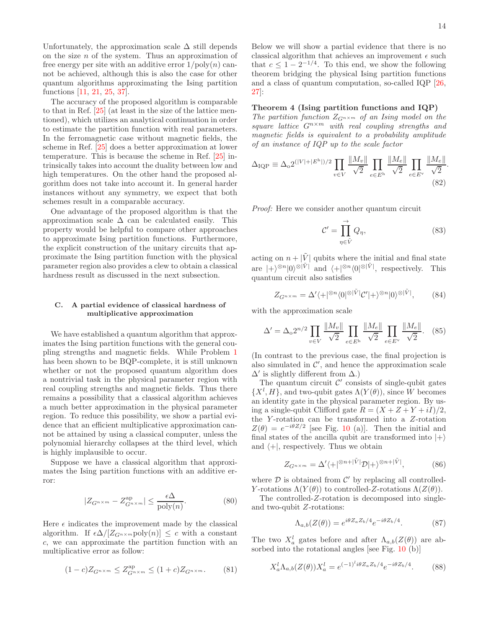Unfortunately, the approximation scale  $\Delta$  still depends on the size  $n$  of the system. Thus an approximation of free energy per site with an additive error  $1/\text{poly}(n)$  cannot be achieved, although this is also the case for other quantum algorithms approximating the Ising partition functions [11, 21, 25, 37].

The accuracy of the proposed algorithm is comparable to that in Ref. [25] (at least in the size of the lattice mentioned), which utilizes an analytical continuation in order to estimate the partition function with real parameters. In the ferromagnetic case without magnetic fields, the scheme in Ref. [25] does a better approximation at lower temperature. This is because the scheme in Ref. [25] intrinsically takes into account the duality between low and high temperatures. On the other hand the proposed algorithm does not take into account it. In general harder instances without any symmetry, we expect that both schemes result in a comparable accuracy.

One advantage of the proposed algorithm is that the approximation scale  $\Delta$  can be calculated easily. This property would be helpful to compare other approaches to approximate Ising partition functions. Furthermore, the explicit construction of the unitary circuits that approximate the Ising partition function with the physical parameter region also provides a clew to obtain a classical hardness result as discussed in the next subsection.

# C. A partial evidence of classical hardness of multiplicative approximation

We have established a quantum algorithm that approximates the Ising partition functions with the general coupling strengths and magnetic fields. While Problem 1 has been shown to be BQP-complete, it is still unknown whether or not the proposed quantum algorithm does a nontrivial task in the physical parameter region with real coupling strengths and magnetic fields. Thus there remains a possibility that a classical algorithm achieves a much better approximation in the physical parameter region. To reduce this possibility, we show a partial evidence that an efficient multiplicative approximation cannot be attained by using a classical computer, unless the polynomial hierarchy collapses at the third level, which is highly implausible to occur.

Suppose we have a classical algorithm that approximates the Ising partition functions with an additive error:

$$
|Z_{G^{n \times m}} - Z_{G^{n \times m}}^{\text{ap}}| \le \frac{\epsilon \Delta}{\text{poly}(n)}.\tag{80}
$$

Here  $\epsilon$  indicates the improvement made by the classical algorithm. If  $\epsilon \Delta / [Z_{G^{n \times m}} \text{poly}(n)] \leq c$  with a constant c, we can approximate the partition function with an multiplicative error as follow:

$$
(1-c)Z_{G^{n\times m}} \le Z_{G^{n\times m}}^{\text{ap}} \le (1+c)Z_{G^{n\times m}}.\tag{81}
$$

Below we will show a partial evidence that there is no classical algorithm that achieves an improvement  $\epsilon$  such that  $c \leq 1 - 2^{-1/4}$ . To this end, we show the following theorem bridging the physical Ising partition functions and a class of quantum computation, so-called IQP [26, 27]:

### Theorem 4 (Ising partition functions and IQP)

The partition function  $Z_{G^{n\times m}}$  of an Ising model on the square lattice  $G^{n \times m}$  with real coupling strengths and magnetic fields is equivalent to a probability amplitude of an instance of IQP up to the scale factor

$$
\Delta_{\text{IQP}} \equiv \Delta_o 2^{(|V| + |E^{\text{h}}|)/2} \prod_{v \in V} \frac{\|M_v\|}{\sqrt{2}} \prod_{e \in E^{\text{h}}} \frac{\|M_e\|}{\sqrt{2}} \prod_{e \in E^{\text{v}}} \frac{\|M_e\|}{\sqrt{2}}.
$$
\n(82)

Proof: Here we consider another quantum circuit

$$
\mathcal{C}' = \prod_{\eta \in \tilde{V}}^{\to} Q_{\eta},\tag{83}
$$

acting on  $n + |\tilde{V}|$  qubits where the initial and final state are  $|+\rangle^{\otimes n}|0\rangle^{\otimes |\tilde{V}|}$  and  $\langle +|_{\infty}^{\otimes n}\langle 0|\otimes |\tilde{V}|$ , respectively. This quantum circuit also satisfies

$$
Z_{G^{n \times m}} = \Delta' \langle + |^{\otimes n} \langle 0 |^{\otimes |\tilde{V}|} C' | + \rangle^{\otimes n} |0 \rangle^{\otimes |\tilde{V}|},\tag{84}
$$

with the approximation scale

$$
\Delta' = \Delta_0 2^{n/2} \prod_{v \in V} \frac{\|M_v\|}{\sqrt{2}} \prod_{e \in E^{\text{h}}} \frac{\|M_e\|}{\sqrt{2}} \prod_{e \in E^{\text{v}}} \frac{\|M_e\|}{\sqrt{2}}. \tag{85}
$$

(In contrast to the previous case, the final projection is also simulated in  $\mathcal{C}'$ , and hence the approximation scale  $\Delta'$  is slightly different from  $\Delta$ .)

The quantum circuit  $\mathcal{C}'$  consists of single-qubit gates  $\{X^l, H\}$ , and two-qubit gates  $\Lambda(Y(\theta))$ , since W becomes an identity gate in the physical parameter region. By using a single-qubit Clifford gate  $R = (X + Z + Y + iI)/2$ , the Y-rotation can be transformed into a  $Z$ -rotation  $Z(\theta) = e^{-i\theta Z/2}$  [see Fig. 10 (a)]. Then the initial and final states of the ancilla qubit are transformed into  $|+\rangle$ and  $\langle +|$ , respectively. Thus we obtain

$$
Z_{G^{n \times m}} = \Delta' \langle + |^{\otimes n + |\tilde{V}|} \mathcal{D}| + \rangle^{\otimes n + |\tilde{V}|},\tag{86}
$$

where  $\mathcal D$  is obtained from  $\mathcal C'$  by replacing all controlled-Y-rotations  $\Lambda(Y(\theta))$  to controlled-Z-rotations  $\Lambda(Z(\theta))$ .

The controlled-Z-rotation is decomposed into singleand two-qubit Z-rotations:

$$
\Lambda_{a,b}(Z(\theta)) = e^{i\theta Z_a Z_b/4} e^{-i\theta Z_b/4}.\tag{87}
$$

The two  $X_a^l$  gates before and after  $\Lambda_{a,b}(Z(\theta))$  are absorbed into the rotational angles [see Fig. 10 (b)]

$$
X_a^l \Lambda_{a,b}(Z(\theta)) X_a^l = e^{(-1)^l i\theta Z_a Z_b/4} e^{-i\theta Z_b/4}.
$$
 (88)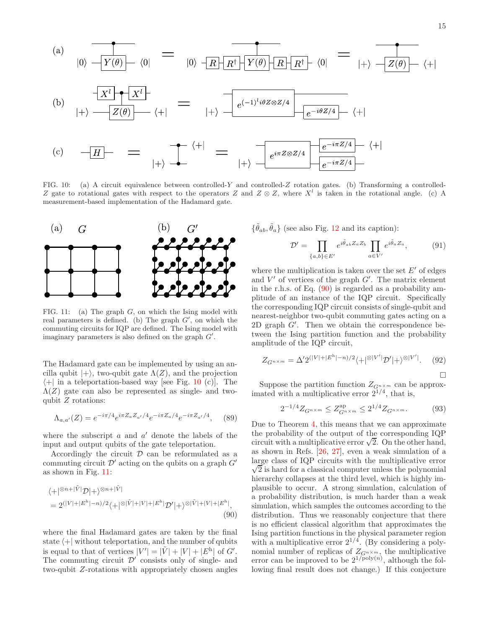

FIG. 10: (a) A circuit equivalence between controlled-Y and controlled-Z rotation gates. (b) Transforming a controlled-Z gate to rotational gates with respect to the operators Z and  $Z \otimes Z$ , where  $X<sup>l</sup>$  is taken in the rotational angle. (c) A measurement-based implementation of the Hadamard gate.



FIG. 11: (a) The graph  $G$ , on which the Ising model with real parameters is defined. (b) The graph  $G'$ , on which the commuting circuits for IQP are defined. The Ising model with imaginary parameters is also defined on the graph  $G'$ .

The Hadamard gate can be implemented by using an ancilla qubit  $|+\rangle$ , two-qubit gate  $\Lambda(Z)$ , and the projection  $\left\langle +\right|$  in a teleportation-based way [see Fig. 10 (c)]. The  $\Lambda(Z)$  gate can also be represented as single- and twoqubit  $Z$  rotations:

$$
\Lambda_{a,a'}(Z) = e^{-i\pi/4} e^{i\pi Z_a Z_{a'}/4} e^{-i\pi Z_a/4} e^{-i\pi Z_{a'}/4}, \quad (89)
$$

where the subscript  $a$  and  $a'$  denote the labels of the input and output qubits of the gate teleportation.

Accordingly the circuit  $\mathcal D$  can be reformulated as a commuting circuit  $\mathcal{D}'$  acting on the qubits on a graph  $G'$ as shown in Fig. 11:

$$
\langle+|^{\otimes n+|\tilde{V}|}\mathcal{D}|+\rangle^{\otimes n+|\tilde{V}|}
$$
  
=  $2^{(|V|+|E^h|-n)/2}\langle+|^{\otimes|\tilde{V}|+|V|+|E^h|}\mathcal{D}'|+\rangle^{\otimes|\tilde{V}|+|V|+|E^h|},$   
(90)

where the final Hadamard gates are taken by the final state  $\left\langle +\right|$  without teleportation, and the number of qubits is equal to that of vertices  $|V'| = |\tilde{V}| + |V| + |E^{\text{h}}|$  of  $G'$ . The commuting circuit  $\mathcal{D}'$  consists only of single- and two-qubit Z-rotations with appropriately chosen angles  $\{\tilde{\theta}_{ab}, \tilde{\theta}_a\}$  (see also Fig. 12 and its caption):

$$
\mathcal{D}' = \prod_{\{a,b\} \in E'} e^{i\tilde{\theta}_{ab}Z_a Z_b} \prod_{a \in V'} e^{i\tilde{\theta}_a Z_a},\tag{91}
$$

where the multiplication is taken over the set  $E'$  of edges and  $V'$  of vertices of the graph  $G'$ . The matrix element in the r.h.s. of Eq. (90) is regarded as a probability amplitude of an instance of the IQP circuit. Specifically the corresponding IQP circuit consists of single-qubit and nearest-neighbor two-qubit commuting gates acting on a 2D graph G′ . Then we obtain the correspondence between the Ising partition function and the probability amplitude of the IQP circuit,

$$
Z_{G^{n \times m}} = \Delta' 2^{(|V| + |E^{\text{h}}| - n)/2} \langle + |^{\otimes |V'|} \mathcal{D}' | + \rangle^{\otimes |V'|}. \tag{92}
$$

 $\Box$ 

Suppose the partition function  $Z_{G^{n \times m}}$  can be approximated with a multiplicative error  $2^{1/4}$ , that is,

$$
2^{-1/4}Z_{G^{n \times m}} \le Z_{G^{n \times m}}^{\text{ap}} \le 2^{1/4}Z_{G^{n \times m}}.
$$
 (93)

Due to Theorem 4, this means that we can approximate the probability of the output of the corresponding IQP circuit with a multiplicative error  $\sqrt{2}$ . On the other hand, as shown in Refs. [26, 27], even a weak simulation of a large class of IQP circuits with the multiplicative error  $\sqrt{2}$  is hard for a classical computer unless the polynomial hierarchy collapses at the third level, which is highly implausible to occur. A strong simulation, calculation of a probability distribution, is much harder than a weak simulation, which samples the outcomes according to the distribution. Thus we reasonably conjecture that there is no efficient classical algorithm that approximates the Ising partition functions in the physical parameter region with a multiplicative error  $2^{1/4}$ . (By considering a polynomial number of replicas of  $Z_{G^{n\times m}}$ , the multiplicative error can be improved to be  $2^{1/poly(n)}$ , although the following final result does not change.) If this conjecture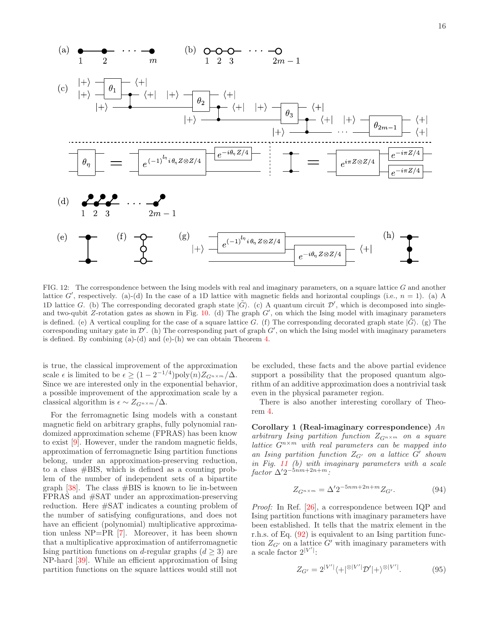

FIG. 12: The correspondence between the Ising models with real and imaginary parameters, on a square lattice  $G$  and another lattice  $G'$ , respectively. (a)-(d) In the case of a 1D lattice with magnetic fields and horizontal couplings (i.e.,  $n = 1$ ). (a) A 1D lattice G. (b) The corresponding decorated graph state  $|\tilde{G}\rangle$ . (c) A quantum circuit  $\mathcal{D}'$ , which is decomposed into singleand two-qubit  $Z$ -rotation gates as shown in Fig. 10. (d) The graph  $G'$ , on which the Ising model with imaginary parameters is defined. (e) A vertical coupling for the case of a square lattice G. (f) The corresponding decorated graph state  $|\tilde{G}\rangle$ . (g) The corresponding unitary gate in  $\mathcal{D}'$ . (h) The corresponding part of graph  $G'$ , on which the Ising model with imaginary parameters is defined. By combining  $(a)-(d)$  and  $(e)-(h)$  we can obtain Theorem 4.

is true, the classical improvement of the approximation scale  $\epsilon$  is limited to be  $\epsilon \geq (1 - 2^{-1/4}) \text{poly}(n) Z_{G^{n \times m}}/\Delta$ . Since we are interested only in the exponential behavior, a possible improvement of the approximation scale by a classical algorithm is  $\epsilon \sim Z_{G^{n \times m}}/\Delta$ .

For the ferromagnetic Ising models with a constant magnetic field on arbitrary graphs, fully polynomial randomized approximation scheme (FPRAS) has been know to exist [9]. However, under the random magnetic fields, approximation of ferromagnetic Ising partition functions belong, under an approximation-preserving reduction, to a class #BIS, which is defined as a counting problem of the number of independent sets of a bipartite graph  $[38]$ . The class  $\# \text{BIS}$  is known to lie in-between FPRAS and #SAT under an approximation-preserving reduction. Here #SAT indicates a counting problem of the number of satisfying configurations, and does not have an efficient (polynomial) multiplicative approximation unless NP=PR [7]. Moreover, it has been shown that a multiplicative approximation of antiferromagnetic Ising partition functions on d-regular graphs  $(d \geq 3)$  are NP-hard [39]. While an efficient approximation of Ising partition functions on the square lattices would still not

be excluded, these facts and the above partial evidence support a possibility that the proposed quantum algorithm of an additive approximation does a nontrivial task even in the physical parameter region.

There is also another interesting corollary of Theorem 4.

Corollary 1 (Real-imaginary correspondence)  $An$ arbitrary Ising partition function  $Z_{G^{n \times m}}$  on a square lattice  $G^{n \times m}$  with real parameters can be mapped into an Ising partition function  $Z_{G'}$  on a lattice  $G'$  shown in Fig. 11 (b) with imaginary parameters with a scale  $factor \Delta' 2^{-5nm+2n+m}$ :

$$
Z_{G^{n \times m}} = \Delta' 2^{-5nm + 2n + m} Z_{G'}.
$$
 (94)

Proof: In Ref. [26], a correspondence between IQP and Ising partition functions with imaginary parameters have been established. It tells that the matrix element in the r.h.s. of Eq. (92) is equivalent to an Ising partition function  $Z_{G'}$  on a lattice G' with imaginary parameters with a scale factor  $2^{|V'|}$ :

$$
Z_{G'} = 2^{|V'|}\langle + |^{\otimes |V'|}\mathcal{D}'| + \rangle^{\otimes |V'|}.\tag{95}
$$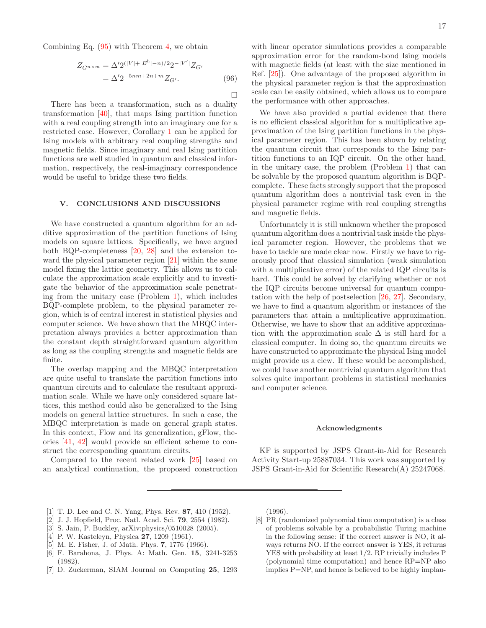Combining Eq. (95) with Theorem 4, we obtain

$$
Z_{G^{n \times m}} = \Delta' 2^{(|V| + |E^{h}| - n)/2} 2^{-|V'|} Z_{G'}
$$
  
=  $\Delta' 2^{-5nm + 2n + m} Z_{G'}$ . (96)

 $\Box$ 

There has been a transformation, such as a duality transformation [40], that maps Ising partition function with a real coupling strength into an imaginary one for a restricted case. However, Corollary 1 can be applied for Ising models with arbitrary real coupling strengths and magnetic fields. Since imaginary and real Ising partition functions are well studied in quantum and classical information, respectively, the real-imaginary correspondence would be useful to bridge these two fields.

### V. CONCLUSIONS AND DISCUSSIONS

We have constructed a quantum algorithm for an additive approximation of the partition functions of Ising models on square lattices. Specifically, we have argued both BQP-completeness [20, 28] and the extension toward the physical parameter region [21] within the same model fixing the lattice geometry. This allows us to calculate the approximation scale explicitly and to investigate the behavior of the approximation scale penetrating from the unitary case (Problem 1), which includes BQP-complete problem, to the physical parameter region, which is of central interest in statistical physics and computer science. We have shown that the MBQC interpretation always provides a better approximation than the constant depth straightforward quantum algorithm as long as the coupling strengths and magnetic fields are finite.

The overlap mapping and the MBQC interpretation are quite useful to translate the partition functions into quantum circuits and to calculate the resultant approximation scale. While we have only considered square lattices, this method could also be generalized to the Ising models on general lattice structures. In such a case, the MBQC interpretation is made on general graph states. In this context, Flow and its generalization, gFlow, theories [41, 42] would provide an efficient scheme to construct the corresponding quantum circuits.

Compared to the recent related work [25] based on an analytical continuation, the proposed construction

with linear operator simulations provides a comparable approximation error for the random-bond Ising models with magnetic fields (at least with the size mentioned in Ref. [25]). One advantage of the proposed algorithm in the physical parameter region is that the approximation scale can be easily obtained, which allows us to compare the performance with other approaches.

We have also provided a partial evidence that there is no efficient classical algorithm for a multiplicative approximation of the Ising partition functions in the physical parameter region. This has been shown by relating the quantum circuit that corresponds to the Ising partition functions to an IQP circuit. On the other hand, in the unitary case, the problem (Problem 1) that can be solvable by the proposed quantum algorithm is BQPcomplete. These facts strongly support that the proposed quantum algorithm does a nontrivial task even in the physical parameter regime with real coupling strengths and magnetic fields.

Unfortunately it is still unknown whether the proposed quantum algorithm does a nontrivial task inside the physical parameter region. However, the problems that we have to tackle are made clear now. Firstly we have to rigorously proof that classical simulation (weak simulation with a multiplicative error) of the related IQP circuits is hard. This could be solved by clarifying whether or not the IQP circuits become universal for quantum computation with the help of postselection [26, 27]. Secondary, we have to find a quantum algorithm or instances of the parameters that attain a multiplicative approximation. Otherwise, we have to show that an additive approximation with the approximation scale  $\Delta$  is still hard for a classical computer. In doing so, the quantum circuits we have constructed to approximate the physical Ising model might provide us a clew. If these would be accomplished, we could have another nontrivial quantum algorithm that solves quite important problems in statistical mechanics and computer science.

### Acknowledgments

KF is supported by JSPS Grant-in-Aid for Research Activity Start-up 25887034. This work was supported by JSPS Grant-in-Aid for Scientific Research(A) 25247068.

- [1] T. D. Lee and C. N. Yang, Phys. Rev. 87, 410 (1952).
- [2] J. J. Hopfield, Proc. Natl. Acad. Sci. 79, 2554 (1982).
- [3] S. Jain, P. Buckley, arXiv:physics/0510028 (2005).
- [4] P. W. Kasteleyn, Physica **27**, 1209 (1961).
- [5] M. E. Fisher, J. of Math. Phys. 7, 1776 (1966).
- [6] F. Barahona, J. Phys. A: Math. Gen. 15, 3241-3253 (1982).
- [7] D. Zuckerman, SIAM Journal on Computing 25, 1293

(1996).

[8] PR (randomized polynomial time computation) is a class of problems solvable by a probabilistic Turing machine in the following sense: if the correct answer is NO, it always returns NO. If the correct answer is YES, it returns YES with probability at least 1/2. RP trivially includes P (polynomial time computation) and hence RP=NP also implies P=NP, and hence is believed to be highly implau